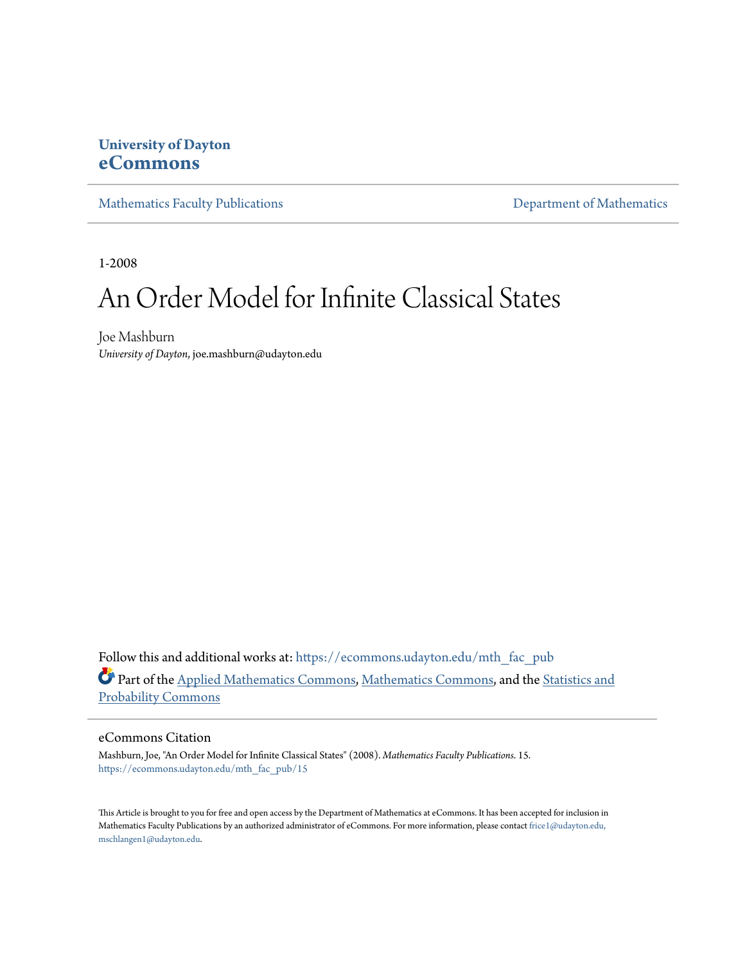### **University of Dayton [eCommons](https://ecommons.udayton.edu?utm_source=ecommons.udayton.edu%2Fmth_fac_pub%2F15&utm_medium=PDF&utm_campaign=PDFCoverPages)**

[Mathematics Faculty Publications](https://ecommons.udayton.edu/mth_fac_pub?utm_source=ecommons.udayton.edu%2Fmth_fac_pub%2F15&utm_medium=PDF&utm_campaign=PDFCoverPages) **[Department of Mathematics](https://ecommons.udayton.edu/mth?utm_source=ecommons.udayton.edu%2Fmth_fac_pub%2F15&utm_medium=PDF&utm_campaign=PDFCoverPages)** Department of Mathematics

1-2008

# An Order Model for Infinite Classical States

Joe Mashburn *University of Dayton*, joe.mashburn@udayton.edu

Follow this and additional works at: [https://ecommons.udayton.edu/mth\\_fac\\_pub](https://ecommons.udayton.edu/mth_fac_pub?utm_source=ecommons.udayton.edu%2Fmth_fac_pub%2F15&utm_medium=PDF&utm_campaign=PDFCoverPages) Part of the [Applied Mathematics Commons](http://network.bepress.com/hgg/discipline/115?utm_source=ecommons.udayton.edu%2Fmth_fac_pub%2F15&utm_medium=PDF&utm_campaign=PDFCoverPages), [Mathematics Commons,](http://network.bepress.com/hgg/discipline/174?utm_source=ecommons.udayton.edu%2Fmth_fac_pub%2F15&utm_medium=PDF&utm_campaign=PDFCoverPages) and the [Statistics and](http://network.bepress.com/hgg/discipline/208?utm_source=ecommons.udayton.edu%2Fmth_fac_pub%2F15&utm_medium=PDF&utm_campaign=PDFCoverPages) [Probability Commons](http://network.bepress.com/hgg/discipline/208?utm_source=ecommons.udayton.edu%2Fmth_fac_pub%2F15&utm_medium=PDF&utm_campaign=PDFCoverPages)

#### eCommons Citation

Mashburn, Joe, "An Order Model for Infinite Classical States" (2008). *Mathematics Faculty Publications*. 15. [https://ecommons.udayton.edu/mth\\_fac\\_pub/15](https://ecommons.udayton.edu/mth_fac_pub/15?utm_source=ecommons.udayton.edu%2Fmth_fac_pub%2F15&utm_medium=PDF&utm_campaign=PDFCoverPages)

This Article is brought to you for free and open access by the Department of Mathematics at eCommons. It has been accepted for inclusion in Mathematics Faculty Publications by an authorized administrator of eCommons. For more information, please contact [frice1@udayton.edu,](mailto:frice1@udayton.edu,%20mschlangen1@udayton.edu) [mschlangen1@udayton.edu.](mailto:frice1@udayton.edu,%20mschlangen1@udayton.edu)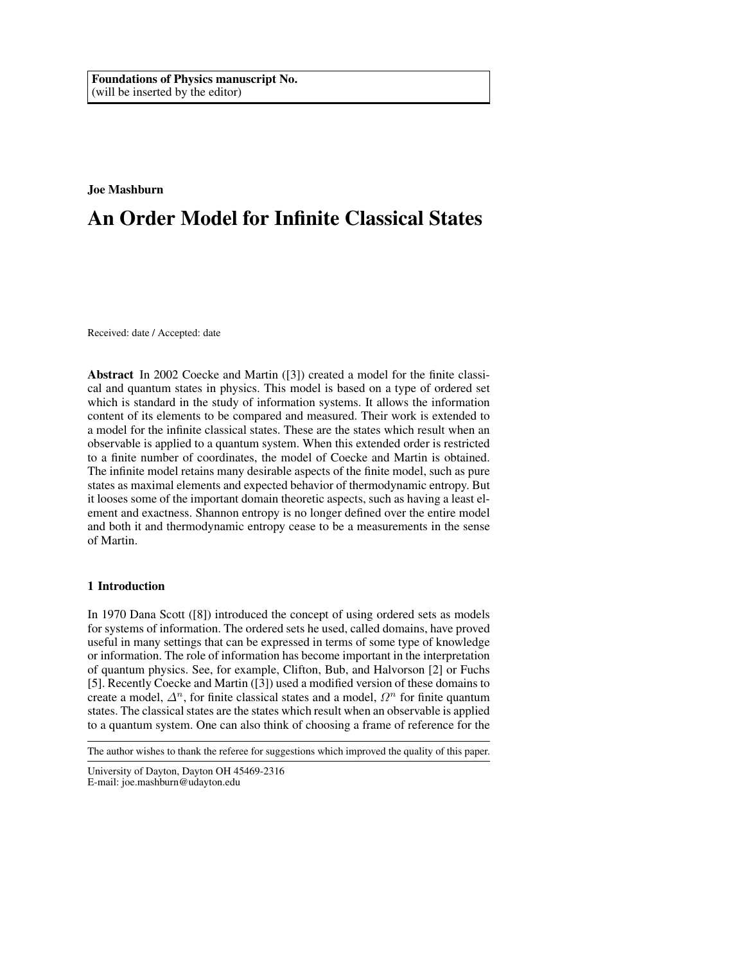#### Joe Mashburn

## An Order Model for Infinite Classical States

Received: date / Accepted: date

Abstract In 2002 Coecke and Martin ([3]) created a model for the finite classical and quantum states in physics. This model is based on a type of ordered set which is standard in the study of information systems. It allows the information content of its elements to be compared and measured. Their work is extended to a model for the infinite classical states. These are the states which result when an observable is applied to a quantum system. When this extended order is restricted to a finite number of coordinates, the model of Coecke and Martin is obtained. The infinite model retains many desirable aspects of the finite model, such as pure states as maximal elements and expected behavior of thermodynamic entropy. But it looses some of the important domain theoretic aspects, such as having a least element and exactness. Shannon entropy is no longer defined over the entire model and both it and thermodynamic entropy cease to be a measurements in the sense of Martin.

#### 1 Introduction

In 1970 Dana Scott ([8]) introduced the concept of using ordered sets as models for systems of information. The ordered sets he used, called domains, have proved useful in many settings that can be expressed in terms of some type of knowledge or information. The role of information has become important in the interpretation of quantum physics. See, for example, Clifton, Bub, and Halvorson [2] or Fuchs [5]. Recently Coecke and Martin ([3]) used a modified version of these domains to create a model,  $\Delta^n$ , for finite classical states and a model,  $\Omega^n$  for finite quantum states. The classical states are the states which result when an observable is applied to a quantum system. One can also think of choosing a frame of reference for the

The author wishes to thank the referee for suggestions which improved the quality of this paper.

University of Dayton, Dayton OH 45469-2316 E-mail: joe.mashburn@udayton.edu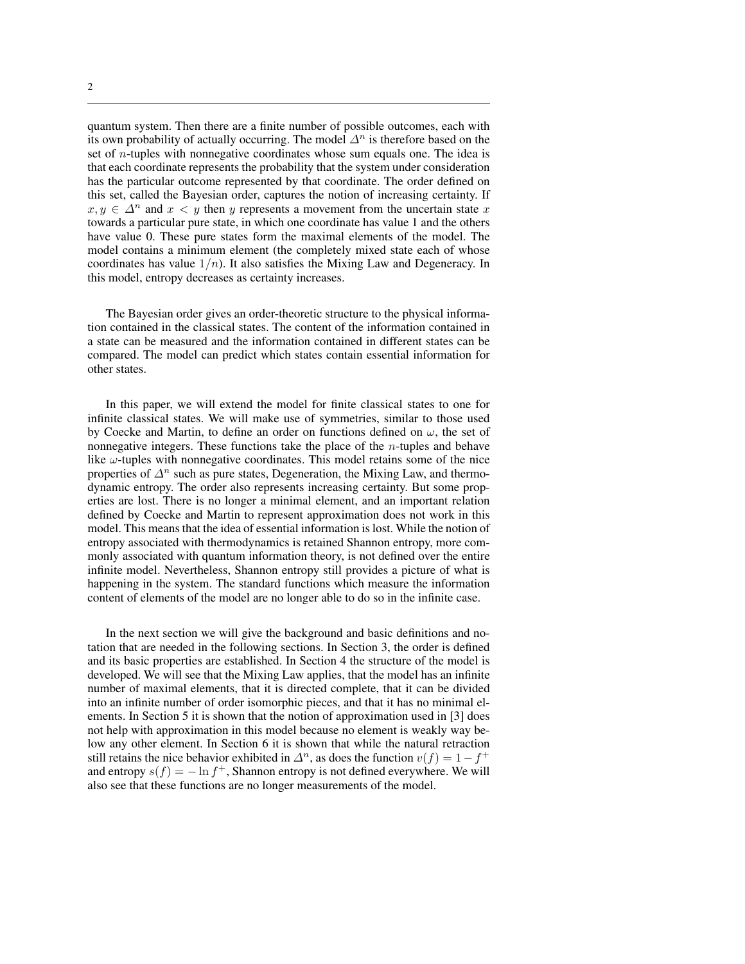quantum system. Then there are a finite number of possible outcomes, each with its own probability of actually occurring. The model  $\Delta^n$  is therefore based on the set of n-tuples with nonnegative coordinates whose sum equals one. The idea is that each coordinate represents the probability that the system under consideration has the particular outcome represented by that coordinate. The order defined on this set, called the Bayesian order, captures the notion of increasing certainty. If  $x, y \in \Delta^n$  and  $x < y$  then y represents a movement from the uncertain state x towards a particular pure state, in which one coordinate has value 1 and the others have value 0. These pure states form the maximal elements of the model. The model contains a minimum element (the completely mixed state each of whose coordinates has value  $1/n$ ). It also satisfies the Mixing Law and Degeneracy. In this model, entropy decreases as certainty increases.

The Bayesian order gives an order-theoretic structure to the physical information contained in the classical states. The content of the information contained in a state can be measured and the information contained in different states can be compared. The model can predict which states contain essential information for other states.

In this paper, we will extend the model for finite classical states to one for infinite classical states. We will make use of symmetries, similar to those used by Coecke and Martin, to define an order on functions defined on  $\omega$ , the set of nonnegative integers. These functions take the place of the  $n$ -tuples and behave like  $\omega$ -tuples with nonnegative coordinates. This model retains some of the nice properties of  $\Delta^n$  such as pure states, Degeneration, the Mixing Law, and thermodynamic entropy. The order also represents increasing certainty. But some properties are lost. There is no longer a minimal element, and an important relation defined by Coecke and Martin to represent approximation does not work in this model. This means that the idea of essential information is lost. While the notion of entropy associated with thermodynamics is retained Shannon entropy, more commonly associated with quantum information theory, is not defined over the entire infinite model. Nevertheless, Shannon entropy still provides a picture of what is happening in the system. The standard functions which measure the information content of elements of the model are no longer able to do so in the infinite case.

In the next section we will give the background and basic definitions and notation that are needed in the following sections. In Section 3, the order is defined and its basic properties are established. In Section 4 the structure of the model is developed. We will see that the Mixing Law applies, that the model has an infinite number of maximal elements, that it is directed complete, that it can be divided into an infinite number of order isomorphic pieces, and that it has no minimal elements. In Section 5 it is shown that the notion of approximation used in [3] does not help with approximation in this model because no element is weakly way below any other element. In Section 6 it is shown that while the natural retraction still retains the nice behavior exhibited in  $\Delta^n$ , as does the function  $v(f) = 1 - f^+$ and entropy  $s(f) = -\ln f^+$ , Shannon entropy is not defined everywhere. We will also see that these functions are no longer measurements of the model.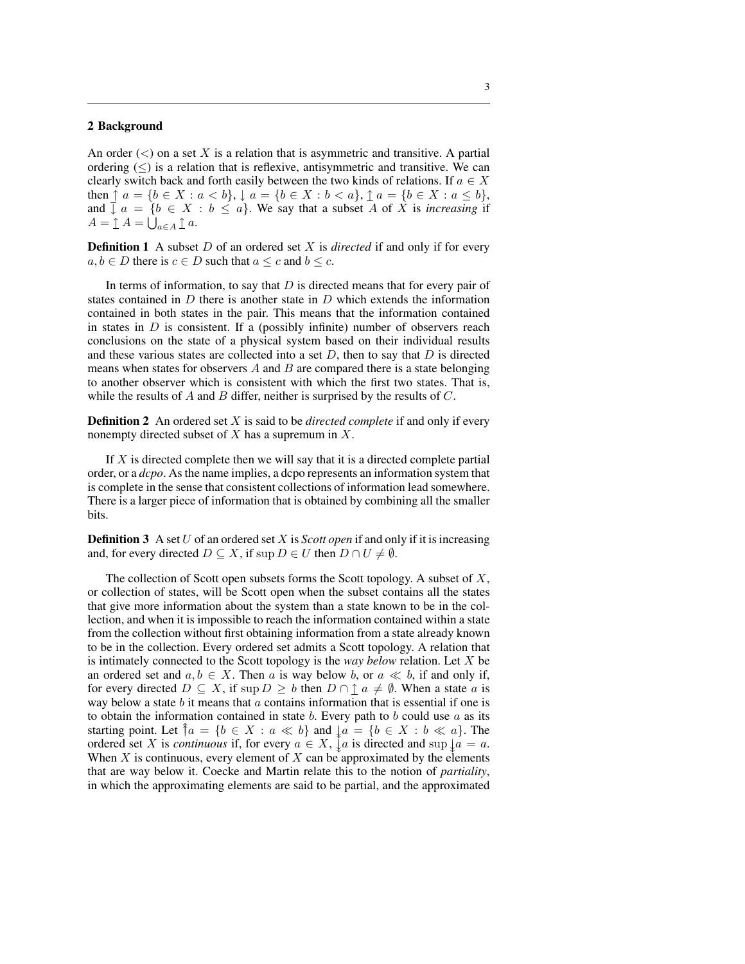#### 2 Background

An order  $\langle \langle \rangle$  on a set X is a relation that is asymmetric and transitive. A partial ordering  $(\leq)$  is a relation that is reflexive, antisymmetric and transitive. We can clearly switch back and forth easily between the two kinds of relations. If  $a \in X$ then  $\uparrow$   $a = \{b \in X : a < b\}, \downarrow$   $a = \{b \in X : b < a\}, \uparrow$   $a = \{b \in X : a \le b\},\$ and  $\overline{y}$   $a = \{b \in X : b \le a\}$ . We say that a subset A of X is *increasing* if and  $\downarrow$   $a = \{b \in X$ <br>  $A = \mathbf{1}$   $A = \bigcup_{a \in A} \mathbf{1}$   $a$ .

**Definition 1** A subset *D* of an ordered set *X* is *directed* if and only if for every  $a, b \in D$  there is  $c \in D$  such that  $a \leq c$  and  $b \leq c$ .

In terms of information, to say that  $D$  is directed means that for every pair of states contained in  $D$  there is another state in  $D$  which extends the information contained in both states in the pair. This means that the information contained in states in  $D$  is consistent. If a (possibly infinite) number of observers reach conclusions on the state of a physical system based on their individual results and these various states are collected into a set  $D$ , then to say that  $D$  is directed means when states for observers  $A$  and  $B$  are compared there is a state belonging to another observer which is consistent with which the first two states. That is, while the results of  $A$  and  $B$  differ, neither is surprised by the results of  $C$ .

Definition 2 An ordered set X is said to be *directed complete* if and only if every nonempty directed subset of  $X$  has a supremum in  $X$ .

If  $X$  is directed complete then we will say that it is a directed complete partial order, or a *dcpo*. As the name implies, a dcpo represents an information system that is complete in the sense that consistent collections of information lead somewhere. There is a larger piece of information that is obtained by combining all the smaller bits.

**Definition 3** A set U of an ordered set X is *Scott open* if and only if it is increasing and, for every directed  $D \subseteq X$ , if sup  $D \in U$  then  $D \cap U \neq \emptyset$ .

The collection of Scott open subsets forms the Scott topology. A subset of  $X$ , or collection of states, will be Scott open when the subset contains all the states that give more information about the system than a state known to be in the collection, and when it is impossible to reach the information contained within a state from the collection without first obtaining information from a state already known to be in the collection. Every ordered set admits a Scott topology. A relation that is intimately connected to the Scott topology is the *way below* relation. Let X be an ordered set and  $a, b \in X$ . Then a is way below b, or  $a \ll b$ , if and only if, for every directed  $D \subseteq X$ , if sup  $D \ge b$  then  $D \cap \mathcal{I}$   $a \ne \emptyset$ . When a state a is way below a state  $b$  it means that  $a$  contains information that is essential if one is to obtain the information contained in state b. Every path to b could use  $a$  as its starting point. Let  $\uparrow a = \{b \in X : a \ll b\}$  and  $\downarrow a = \{b \in X : b \ll a\}$ . The ordered set X is *continuous* if, for every  $a \in X$ ,  $\mathring{\downarrow} a$  is directed and sup  $\mathring{\downarrow} a = a$ . When  $X$  is continuous, every element of  $X$  can be approximated by the elements that are way below it. Coecke and Martin relate this to the notion of *partiality*, in which the approximating elements are said to be partial, and the approximated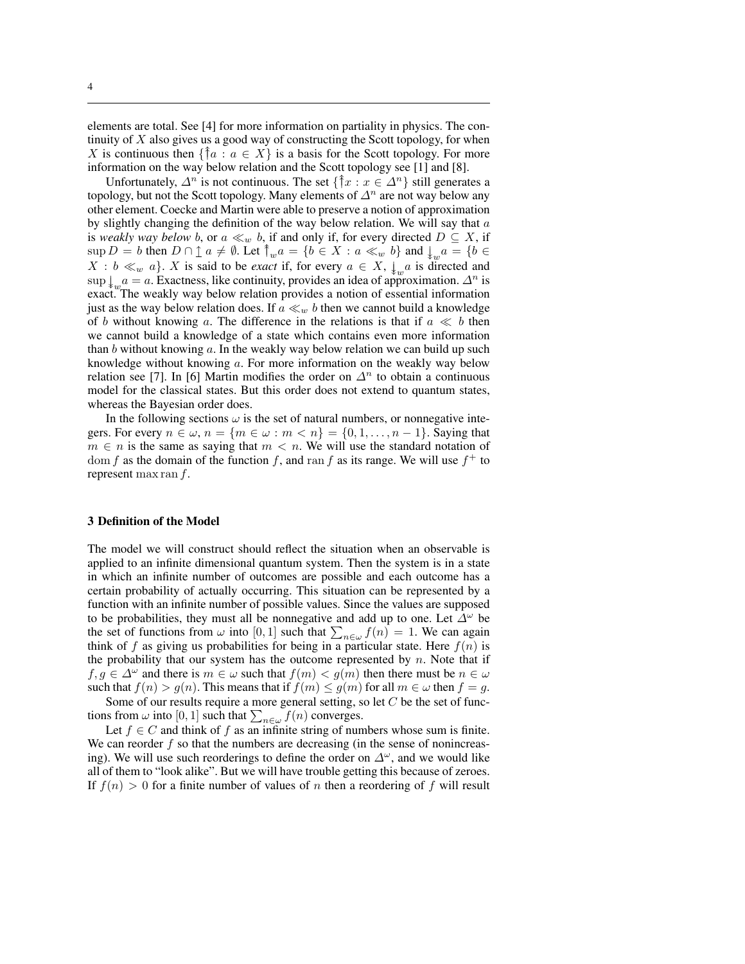elements are total. See [4] for more information on partiality in physics. The continuity of  $X$  also gives us a good way of constructing the Scott topology, for when X is continuous then  $\{\uparrow a : a \in X\}$  is a basis for the Scott topology. For more information on the way below relation and the Scott topology see [1] and [8].

Unfortunately,  $\Delta^n$  is not continuous. The set  $\{\hat{\mathcal{T}}x : x \in \Delta^n\}$  still generates a topology, but not the Scott topology. Many elements of  $\Delta^n$  are not way below any other element. Coecke and Martin were able to preserve a notion of approximation by slightly changing the definition of the way below relation. We will say that  $a$ is *weakly way below b*, or  $a \ll_w b$ , if and only if, for every directed  $D \subseteq X$ , if  $\sup D = b$  then  $D \cap \hat{\perp} a \neq \emptyset$ . Let  $\hat{\uparrow}_w a = \{b \in X : a \ll_w b\}$  and  $\downarrow_w a = \{b \in \bot \}$  $X : b \ll_w a$ . X is said to be *exact* if, for every  $a \in X$ ,  $\downarrow_w a$  is directed and sup  $\downarrow_{w} a = a$ . Exactness, like continuity, provides an idea of approximation.  $\Delta^{n}$  is exact. The weakly way below relation provides a notion of essential information just as the way below relation does. If  $a \ll_w b$  then we cannot build a knowledge of b without knowing a. The difference in the relations is that if  $a \ll b$  then we cannot build a knowledge of a state which contains even more information than b without knowing a. In the weakly way below relation we can build up such knowledge without knowing a. For more information on the weakly way below relation see [7]. In [6] Martin modifies the order on  $\Delta^n$  to obtain a continuous model for the classical states. But this order does not extend to quantum states, whereas the Bayesian order does.

In the following sections  $\omega$  is the set of natural numbers, or nonnegative integers. For every  $n \in \omega$ ,  $n = \{m \in \omega : m < n\} = \{0, 1, \ldots, n-1\}$ . Saying that  $m \in n$  is the same as saying that  $m < n$ . We will use the standard notation of dom f as the domain of the function f, and ran f as its range. We will use  $f^+$  to represent max ran  $f$ .

#### 3 Definition of the Model

The model we will construct should reflect the situation when an observable is applied to an infinite dimensional quantum system. Then the system is in a state in which an infinite number of outcomes are possible and each outcome has a certain probability of actually occurring. This situation can be represented by a function with an infinite number of possible values. Since the values are supposed to be probabilities, they must all be nonnegative and add up to one. Let  $\Delta^{\omega}$  be to be probabilities, they must all be honnegative and add up to one. Let  $\Delta^*$  be the set of functions from  $\omega$  into [0, 1] such that  $\sum_{n \in \omega} f(n) = 1$ . We can again think of f as giving us probabilities for being in a particular state. Here  $f(n)$  is the probability that our system has the outcome represented by  $n$ . Note that if  $f, g \in \Delta^{\omega}$  and there is  $m \in \omega$  such that  $f(m) < g(m)$  then there must be  $n \in \omega$ such that  $f(n) > g(n)$ . This means that if  $f(m) \le g(m)$  for all  $m \in \omega$  then  $f = g$ .

Some of our results require a more general setting, so let  $C$  be the set of func-Some of our results require a more general setting, s<br>tions from  $\omega$  into [0, 1] such that  $\sum_{n \in \omega} f(n)$  converges.

Let  $f \in C$  and think of f as an infinite string of numbers whose sum is finite. We can reorder  $f$  so that the numbers are decreasing (in the sense of nonincreasing). We will use such reorderings to define the order on  $\Delta^{\omega}$ , and we would like all of them to "look alike". But we will have trouble getting this because of zeroes. If  $f(n) > 0$  for a finite number of values of n then a reordering of f will result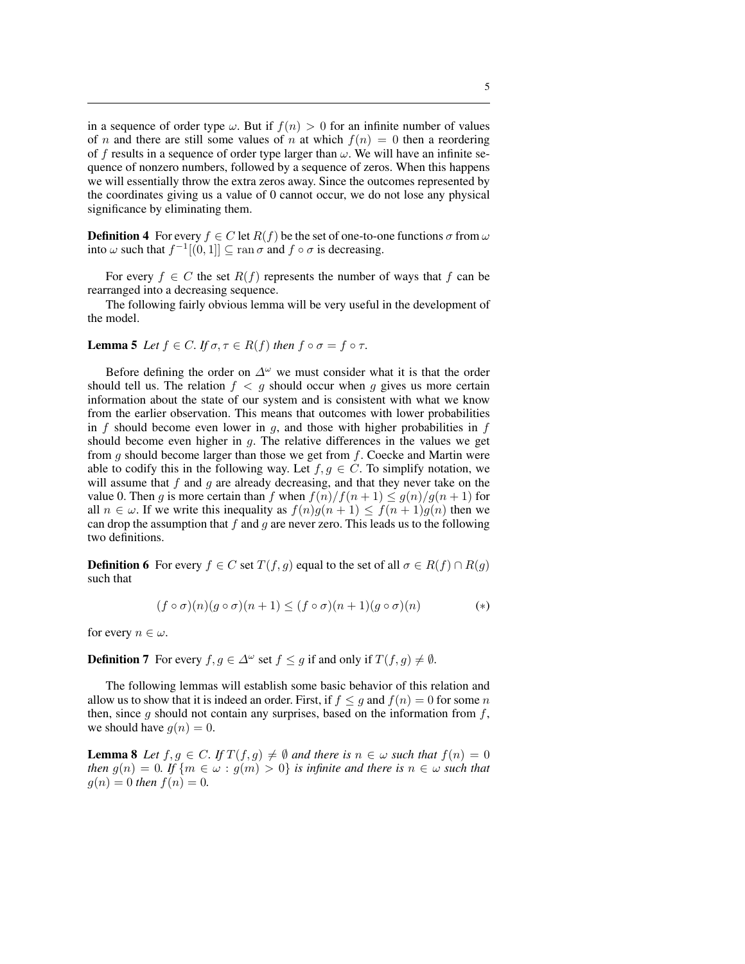in a sequence of order type  $\omega$ . But if  $f(n) > 0$  for an infinite number of values of *n* and there are still some values of *n* at which  $f(n) = 0$  then a reordering of f results in a sequence of order type larger than  $\omega$ . We will have an infinite sequence of nonzero numbers, followed by a sequence of zeros. When this happens we will essentially throw the extra zeros away. Since the outcomes represented by the coordinates giving us a value of 0 cannot occur, we do not lose any physical significance by eliminating them.

**Definition 4** For every  $f \in C$  let  $R(f)$  be the set of one-to-one functions  $\sigma$  from  $\omega$ into  $\omega$  such that  $f^{-1}[(0, 1]] \subseteq \text{ran }\sigma$  and  $f \circ \sigma$  is decreasing.

For every  $f \in C$  the set  $R(f)$  represents the number of ways that f can be rearranged into a decreasing sequence.

The following fairly obvious lemma will be very useful in the development of the model.

**Lemma 5** *Let*  $f \in C$ *. If*  $\sigma, \tau \in R(f)$  *then*  $f \circ \sigma = f \circ \tau$ *.* 

Before defining the order on  $\Delta^{\omega}$  we must consider what it is that the order should tell us. The relation  $f < g$  should occur when g gives us more certain information about the state of our system and is consistent with what we know from the earlier observation. This means that outcomes with lower probabilities in f should become even lower in  $q$ , and those with higher probabilities in f should become even higher in  $g$ . The relative differences in the values we get from  $g$  should become larger than those we get from  $f$ . Coecke and Martin were able to codify this in the following way. Let  $f, g \in C$ . To simplify notation, we will assume that  $f$  and  $g$  are already decreasing, and that they never take on the value 0. Then g is more certain than f when  $f(n)/f(n+1) \le g(n)/g(n+1)$  for all  $n \in \omega$ . If we write this inequality as  $f(n)g(n+1) \le f(n+1)g(n)$  then we can drop the assumption that f and q are never zero. This leads us to the following two definitions.

**Definition 6** For every  $f \in C$  set  $T(f, g)$  equal to the set of all  $\sigma \in R(f) \cap R(g)$ such that

$$
(f \circ \sigma)(n)(g \circ \sigma)(n+1) \le (f \circ \sigma)(n+1)(g \circ \sigma)(n) \tag{*}
$$

for every  $n \in \omega$ .

**Definition 7** For every  $f, g \in \Delta^{\omega}$  set  $f \le g$  if and only if  $T(f, g) \ne \emptyset$ .

The following lemmas will establish some basic behavior of this relation and allow us to show that it is indeed an order. First, if  $f \leq g$  and  $f(n) = 0$  for some n then, since q should not contain any surprises, based on the information from  $f$ , we should have  $q(n) = 0$ .

**Lemma 8** Let  $f, g \in C$ *.* If  $T(f, g) \neq \emptyset$  and there is  $n \in \omega$  such that  $f(n) = 0$ *then*  $g(n) = 0$ *. If*  $\{m \in \omega : g(m) > 0\}$  *is infinite and there is*  $n \in \omega$  *such that*  $g(n) = 0$  *then*  $f(n) = 0$ *.*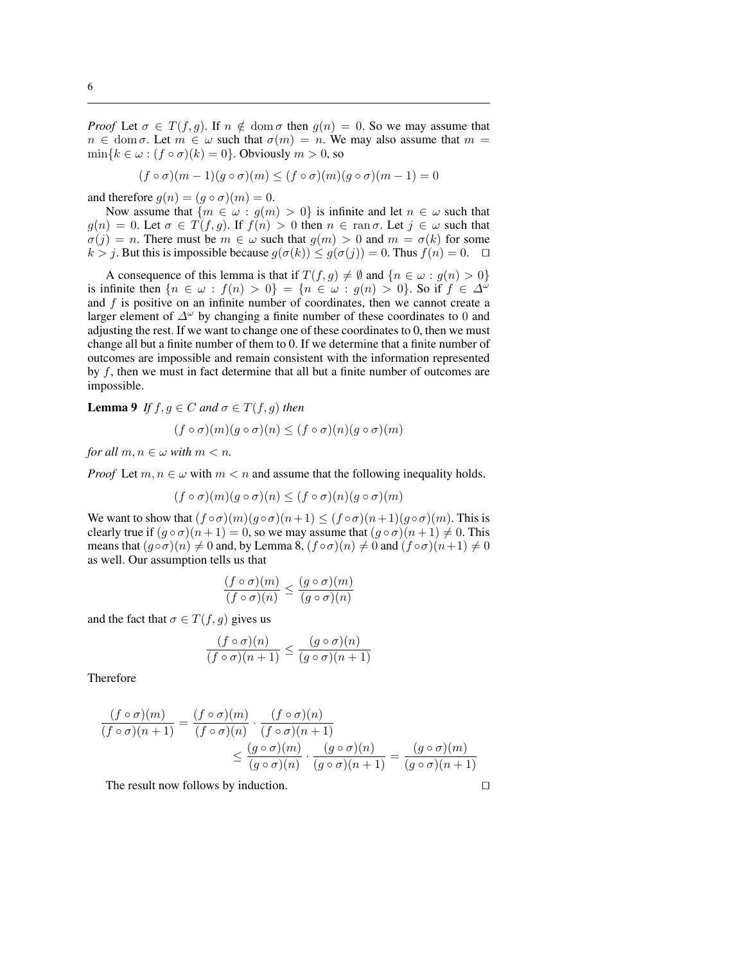*Proof* Let  $\sigma \in T(f, g)$ . If  $n \notin \text{dom } \sigma$  then  $g(n) = 0$ . So we may assume that  $n \in \text{dom }\sigma$ . Let  $m \in \omega$  such that  $\sigma(m) = n$ . We may also assume that  $m =$  $\min\{k \in \omega : (f \circ \sigma)(k) = 0\}$ . Obviously  $m > 0$ , so

$$
(f \circ \sigma)(m-1)(g \circ \sigma)(m) \le (f \circ \sigma)(m)(g \circ \sigma)(m-1) = 0
$$

and therefore  $g(n) = (g \circ \sigma)(m) = 0$ .

Now assume that  ${m \in \omega : g(m) > 0}$  is infinite and let  $n \in \omega$  such that  $g(n) = 0$ . Let  $\sigma \in T(f, g)$ . If  $f(n) > 0$  then  $n \in \text{ran }\sigma$ . Let  $j \in \omega$  such that  $\sigma(j) = n$ . There must be  $m \in \omega$  such that  $g(m) > 0$  and  $m = \sigma(k)$  for some  $k > j$ . But this is impossible because  $g(\sigma(k)) \leq g(\sigma(j)) = 0$ . Thus  $f(n) = 0$ .  $\Box$ 

A consequence of this lemma is that if  $T(f, g) \neq \emptyset$  and  ${n \in \omega : g(n) > 0}$ is infinite then  $\{n \in \omega : f(n) > 0\} = \{n \in \omega : g(n) > 0\}$ . So if  $f \in \Delta^{\omega}$ and  $f$  is positive on an infinite number of coordinates, then we cannot create a larger element of  $\Delta^{\omega}$  by changing a finite number of these coordinates to 0 and adjusting the rest. If we want to change one of these coordinates to 0, then we must change all but a finite number of them to 0. If we determine that a finite number of outcomes are impossible and remain consistent with the information represented by f, then we must in fact determine that all but a finite number of outcomes are impossible.

**Lemma 9** *If*  $f, g \in C$  *and*  $\sigma \in T(f, g)$  *then*  $(f \circ \sigma)(m)(q \circ \sigma)(n) \leq (f \circ \sigma)(n)(q \circ \sigma)(m)$ 

*for all*  $m, n \in \omega$  *with*  $m < n$ *.* 

*Proof* Let  $m, n \in \omega$  with  $m < n$  and assume that the following inequality holds.

$$
(f \circ \sigma)(m)(g \circ \sigma)(n) \le (f \circ \sigma)(n)(g \circ \sigma)(m)
$$

We want to show that  $(f \circ \sigma)(m)(g \circ \sigma)(n+1) \leq (f \circ \sigma)(n+1)(g \circ \sigma)(m)$ . This is clearly true if  $(g \circ \sigma)(n+1) = 0$ , so we may assume that  $(g \circ \sigma)(n+1) \neq 0$ . This means that  $(g \circ \sigma)(n) \neq 0$  and, by Lemma 8,  $(f \circ \sigma)(n) \neq 0$  and  $(f \circ \sigma)(n+1) \neq 0$ as well. Our assumption tells us that

$$
\frac{(f \circ \sigma)(m)}{(f \circ \sigma)(n)} \le \frac{(g \circ \sigma)(m)}{(g \circ \sigma)(n)}
$$

and the fact that  $\sigma \in T(f, g)$  gives us

$$
\frac{(f \circ \sigma)(n)}{(f \circ \sigma)(n+1)} \le \frac{(g \circ \sigma)(n)}{(g \circ \sigma)(n+1)}
$$

Therefore

$$
\frac{(f \circ \sigma)(m)}{(f \circ \sigma)(n+1)} = \frac{(f \circ \sigma)(m)}{(f \circ \sigma)(n)} \cdot \frac{(f \circ \sigma)(n)}{(f \circ \sigma)(n+1)} \le \frac{(g \circ \sigma)(m)}{(g \circ \sigma)(n)} \cdot \frac{(g \circ \sigma)(n)}{(g \circ \sigma)(n+1)} = \frac{(g \circ \sigma)(m)}{(g \circ \sigma)(n+1)}
$$

The result now follows by induction.  $\square$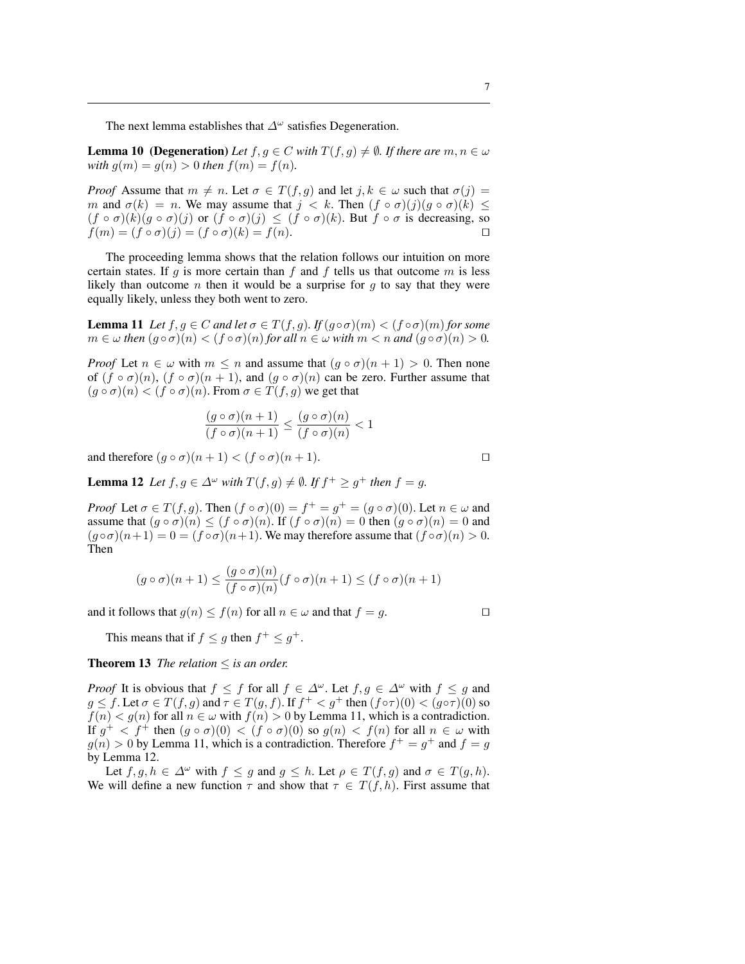The next lemma establishes that  $\Delta^{\omega}$  satisfies Degeneration.

**Lemma 10 (Degeneration)** *Let*  $f, g \in C$  *with*  $T(f, g) \neq \emptyset$ *. If there are*  $m, n \in \omega$ *with*  $g(m) = g(n) > 0$  *then*  $f(m) = f(n)$ *.* 

*Proof* Assume that  $m \neq n$ . Let  $\sigma \in T(f, g)$  and let  $j, k \in \omega$  such that  $\sigma(j) =$ m and  $\sigma(k) = n$ . We may assume that  $j < k$ . Then  $(f \circ \sigma)(j)(g \circ \sigma)(k) \leq$  $(f \circ \sigma)(k)(g \circ \sigma)(j)$  or  $(f \circ \sigma)(j) \leq (f \circ \sigma)(k)$ . But  $f \circ \sigma$  is decreasing, so  $f(m) = (f \circ \sigma)(j) = (f \circ \sigma)(k) = f(n).$ 

The proceeding lemma shows that the relation follows our intuition on more certain states. If g is more certain than f and f tells us that outcome  $m$  is less likely than outcome n then it would be a surprise for  $q$  to say that they were equally likely, unless they both went to zero.

**Lemma 11** *Let*  $f, g \in C$  *and let*  $\sigma \in T(f, g)$ *. If*  $(g \circ \sigma)(m) < (f \circ \sigma)(m)$  *for some*  $m \in \omega$  *then*  $(g \circ \sigma)(n) < (f \circ \sigma)(n)$  *for all*  $n \in \omega$  *with*  $m < n$  *and*  $(g \circ \sigma)(n) > 0$ *.* 

*Proof* Let  $n \in \omega$  with  $m \leq n$  and assume that  $(g \circ \sigma)(n+1) > 0$ . Then none of  $(f \circ \sigma)(n)$ ,  $(f \circ \sigma)(n+1)$ , and  $(g \circ \sigma)(n)$  can be zero. Further assume that  $(g \circ \sigma)(n) < (f \circ \sigma)(n)$ . From  $\sigma \in T(f, g)$  we get that

$$
\frac{(g \circ \sigma)(n+1)}{(f \circ \sigma)(n+1)} \le \frac{(g \circ \sigma)(n)}{(f \circ \sigma)(n)} < 1
$$

and therefore  $(q \circ \sigma)(n+1) < (f \circ \sigma)(n+1)$ .

**Lemma 12** Let  $f, g \in \Delta^{\omega}$  with  $T(f, g) \neq \emptyset$ . If  $f^+ \geq g^+$  then  $f = g$ .

*Proof* Let  $\sigma \in T(f, g)$ . Then  $(f \circ \sigma)(0) = f^+ = g^+ = (g \circ \sigma)(0)$ . Let  $n \in \omega$  and assume that  $(g \circ \sigma)(n) \le (f \circ \sigma)(n)$ . If  $(f \circ \sigma)(n) = 0$  then  $(g \circ \sigma)(n) = 0$  and  $(g \circ \sigma)(n+1) = 0 = (f \circ \sigma)(n+1)$ . We may therefore assume that  $(f \circ \sigma)(n) > 0$ . Then

$$
(g \circ \sigma)(n+1) \le \frac{(g \circ \sigma)(n)}{(f \circ \sigma)(n)} (f \circ \sigma)(n+1) \le (f \circ \sigma)(n+1)
$$

and it follows that  $g(n) \le f(n)$  for all  $n \in \omega$  and that  $f = g$ .

This means that if  $f \leq g$  then  $f^+ \leq g^+$ .

**Theorem 13** *The relation*  $\leq$  *is an order.* 

*Proof* It is obvious that  $f \leq f$  for all  $f \in \Delta^{\omega}$ . Let  $f, g \in \Delta^{\omega}$  with  $f \leq g$  and  $g \le f$ . Let  $\sigma \in T(f, g)$  and  $\tau \in T(g, f)$ . If  $f^+ < g^+$  then  $(f \circ \tau)(0) < (g \circ \tau)(0)$  so  $f(n) < g(n)$  for all  $n \in \omega$  with  $f(n) > 0$  by Lemma 11, which is a contradiction. If  $g^+ < f^+$  then  $(g \circ \sigma)(0) < (f \circ \sigma)(0)$  so  $g(n) < f(n)$  for all  $n \in \omega$  with  $g(n) > 0$  by Lemma 11, which is a contradiction. Therefore  $f^+ = g^+$  and  $f = g$ by Lemma 12.

Let  $f, g, h \in \Delta^{\omega}$  with  $f \le g$  and  $g \le h$ . Let  $\rho \in T(f, g)$  and  $\sigma \in T(g, h)$ . We will define a new function  $\tau$  and show that  $\tau \in T(f,h)$ . First assume that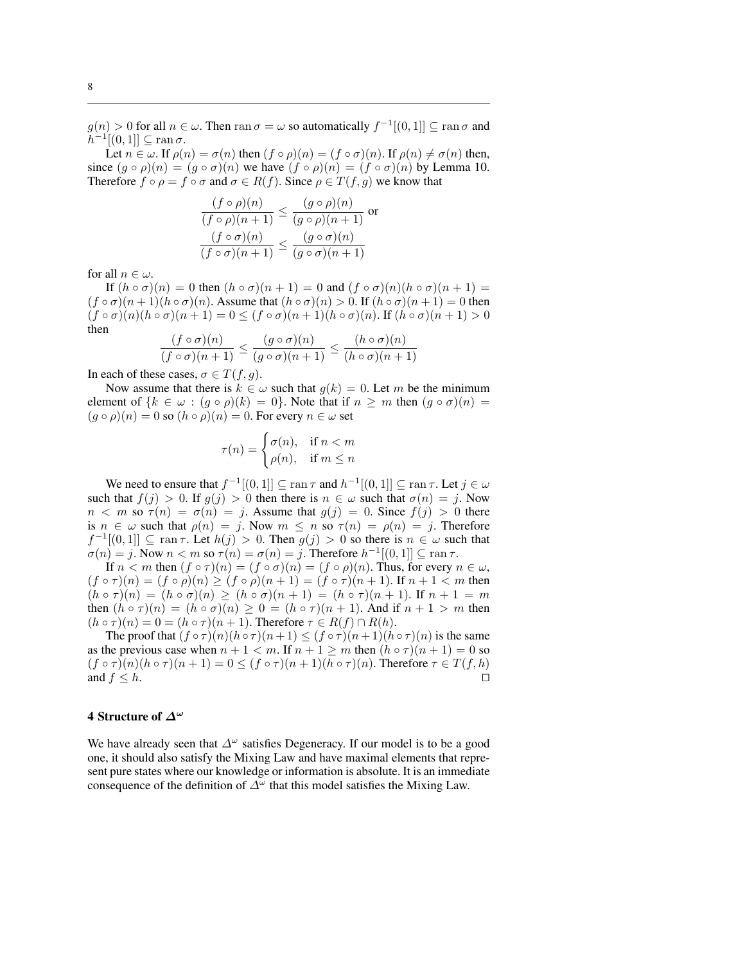$g(n) > 0$  for all  $n \in \omega$ . Then ran  $\sigma = \omega$  so automatically  $f^{-1}[(0, 1]] \subseteq \text{ran }\sigma$  and  $\bar{h}^{-1}[(0,1]] \subseteq \operatorname{ran} \sigma.$ 

Let  $n \in \omega$ . If  $\rho(n) = \sigma(n)$  then  $(f \circ \rho)(n) = (f \circ \sigma)(n)$ . If  $\rho(n) \neq \sigma(n)$  then, since  $(g \circ \rho)(n) = (g \circ \sigma)(n)$  we have  $(f \circ \rho)(n) = (f \circ \sigma)(n)$  by Lemma 10. Therefore  $f \circ \rho = f \circ \sigma$  and  $\sigma \in R(f)$ . Since  $\rho \in T(f, g)$  we know that

$$
\frac{(f \circ \rho)(n)}{(f \circ \rho)(n+1)} \le \frac{(g \circ \rho)(n)}{(g \circ \rho)(n+1)} \text{ or}
$$

$$
\frac{(f \circ \sigma)(n)}{(f \circ \sigma)(n+1)} \le \frac{(g \circ \sigma)(n)}{(g \circ \sigma)(n+1)}
$$

for all  $n \in \omega$ .

If  $(h \circ \sigma)(n) = 0$  then  $(h \circ \sigma)(n+1) = 0$  and  $(f \circ \sigma)(n)(h \circ \sigma)(n+1) =$  $(f \circ \sigma)(n+1)(h \circ \sigma)(n)$ . Assume that  $(h \circ \sigma)(n) > 0$ . If  $(h \circ \sigma)(n+1) = 0$  then  $(f \circ \sigma)(n)(h \circ \sigma)(n+1) = 0 \leq (f \circ \sigma)(n+1)(h \circ \sigma)(n)$ . If  $(h \circ \sigma)(n+1) > 0$ then

$$
\frac{(f \circ \sigma)(n)}{(f \circ \sigma)(n+1)} \le \frac{(g \circ \sigma)(n)}{(g \circ \sigma)(n+1)} \le \frac{(h \circ \sigma)(n)}{(h \circ \sigma)(n+1)}
$$

In each of these cases,  $\sigma \in T(f, g)$ .

Now assume that there is  $k \in \omega$  such that  $g(k) = 0$ . Let m be the minimum element of  ${k \in \omega : (g \circ \rho)(k) = 0}$ . Note that if  $n \geq m$  then  $(g \circ \sigma)(n) =$  $(g \circ \rho)(n) = 0$  so  $(h \circ \rho)(n) = 0$ . For every  $n \in \omega$  set

$$
\tau(n) = \begin{cases} \sigma(n), & \text{if } n < m \\ \rho(n), & \text{if } m \le n \end{cases}
$$

We need to ensure that  $f^{-1}[(0,1]] \subseteq \tan \tau$  and  $h^{-1}[(0,1]] \subseteq \tan \tau$ . Let  $j \in \omega$ such that  $f(j) > 0$ . If  $q(j) > 0$  then there is  $n \in \omega$  such that  $\sigma(n) = j$ . Now  $n < m$  so  $\tau(n) = \sigma(n) = j$ . Assume that  $g(j) = 0$ . Since  $f(j) > 0$  there is  $n \in \omega$  such that  $\rho(n) = j$ . Now  $m \leq n$  so  $\tau(n) = \rho(n) = j$ . Therefore  $f^{-1}[(0,1]] \subseteq \text{ran } \tau$ . Let  $h(j) > 0$ . Then  $g(j) > 0$  so there is  $n \in \omega$  such that  $\sigma(n) = j$ . Now  $n < m$  so  $\tau(n) = \sigma(n) = j$ . Therefore  $h^{-1}[(0, 1]] \subseteq \text{ran } \tau$ .

If  $n < m$  then  $(f \circ \tau)(n) = (f \circ \sigma)(n) = (f \circ \rho)(n)$ . Thus, for every  $n \in \omega$ ,  $(f \circ \tau)(n) = (f \circ \rho)(n) \ge (f \circ \rho)(n+1) = (f \circ \tau)(n+1)$ . If  $n+1 < m$  then  $(h \circ \tau)(n) = (h \circ \sigma)(n) \ge (h \circ \sigma)(n+1) = (h \circ \tau)(n+1)$ . If  $n+1 = m$ then  $(h \circ \tau)(n) = (h \circ \sigma)(n) \geq 0 = (h \circ \tau)(n+1)$ . And if  $n+1 > m$  then  $(h \circ \tau)(n) = 0 = (h \circ \tau)(n+1)$ . Therefore  $\tau \in R(f) \cap R(h)$ .

The proof that  $(f \circ \tau)(n)(h \circ \tau)(n+1) \leq (f \circ \tau)(n+1)(h \circ \tau)(n)$  is the same as the previous case when  $n + 1 < m$ . If  $n + 1 \ge m$  then  $(h \circ \tau)(n + 1) = 0$  so  $(f \circ \tau)(n)(h \circ \tau)(n+1) = 0 \leq (f \circ \tau)(n+1)(h \circ \tau)(n)$ . Therefore  $\tau \in T(f, h)$ and  $f \leq h$ .

#### 4 Structure of  $\Delta^{\omega}$

We have already seen that  $\Delta^{\omega}$  satisfies Degeneracy. If our model is to be a good one, it should also satisfy the Mixing Law and have maximal elements that represent pure states where our knowledge or information is absolute. It is an immediate consequence of the definition of  $\Delta^{\omega}$  that this model satisfies the Mixing Law.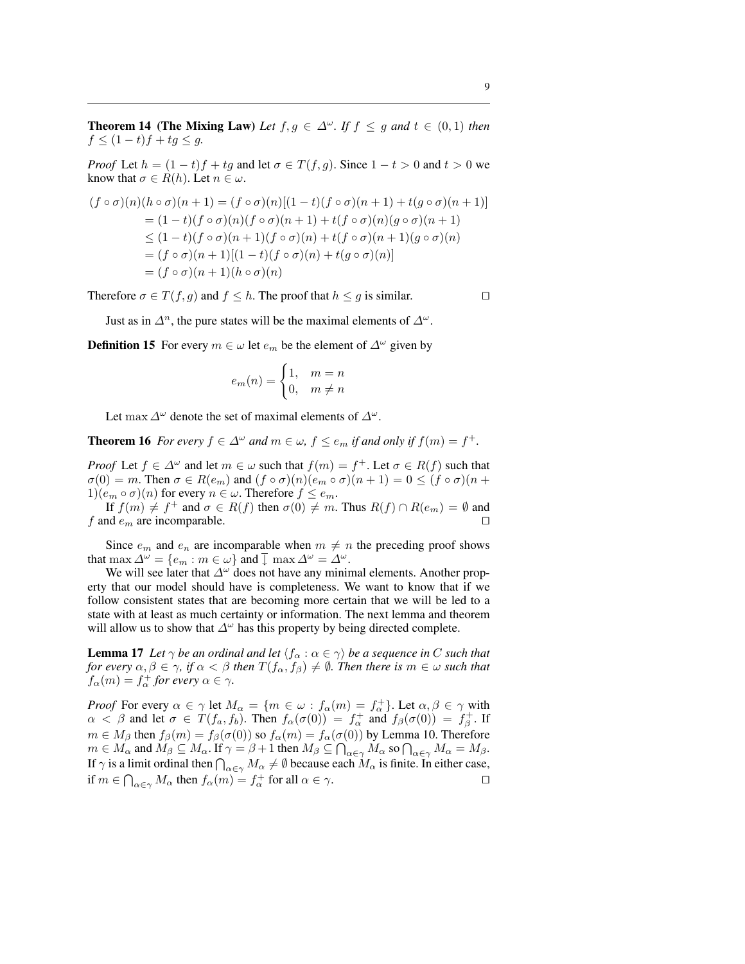**Theorem 14 (The Mixing Law)** Let  $f, g \in \Delta^{\omega}$ . If  $f \le g$  and  $t \in (0,1)$  then  $f$  ≤ (1 − t)f + tg ≤ g.

*Proof* Let  $h = (1 - t)f + tg$  and let  $\sigma \in T(f, g)$ . Since  $1 - t > 0$  and  $t > 0$  we know that  $\sigma \in R(h)$ . Let  $n \in \omega$ .

$$
(f \circ \sigma)(n)(h \circ \sigma)(n+1) = (f \circ \sigma)(n)[(1-t)(f \circ \sigma)(n+1) + t(g \circ \sigma)(n+1)]
$$
  
=  $(1-t)(f \circ \sigma)(n)(f \circ \sigma)(n+1) + t(f \circ \sigma)(n)(g \circ \sigma)(n+1)$   
 $\leq (1-t)(f \circ \sigma)(n+1)(f \circ \sigma)(n) + t(f \circ \sigma)(n+1)(g \circ \sigma)(n)$   
=  $(f \circ \sigma)(n+1)[(1-t)(f \circ \sigma)(n) + t(g \circ \sigma)(n)]$   
=  $(f \circ \sigma)(n+1)(h \circ \sigma)(n)$ 

Therefore  $\sigma \in T(f, g)$  and  $f \leq h$ . The proof that  $h \leq g$  is similar.

Just as in  $\Delta^n$ , the pure states will be the maximal elements of  $\Delta^{\omega}$ .

**Definition 15** For every  $m \in \omega$  let  $e_m$  be the element of  $\Delta^{\omega}$  given by

$$
e_m(n) = \begin{cases} 1, & m = n \\ 0, & m \neq n \end{cases}
$$

Let max  $\Delta^{\omega}$  denote the set of maximal elements of  $\Delta^{\omega}$ .

**Theorem 16** *For every*  $f \in \Delta^{\omega}$  *and*  $m \in \omega$ ,  $f \leq e_m$  *if and only if*  $f(m) = f^+$ *.* 

*Proof* Let  $f \in \Delta^{\omega}$  and let  $m \in \omega$  such that  $f(m) = f^+$ . Let  $\sigma \in R(f)$  such that  $\sigma(0) = m$ . Then  $\sigma \in R(e_m)$  and  $(f \circ \sigma)(n)(e_m \circ \sigma)(n+1) = 0 \le (f \circ \sigma)(n+1)$  $1)(e_m \circ \sigma)(n)$  for every  $n \in \omega$ . Therefore  $f \le e_m$ .

If  $f(m) \neq f^+$  and  $\sigma \in R(f)$  then  $\sigma(0) \neq m$ . Thus  $R(f) \cap R(e_m) = \emptyset$  and f and  $e_m$  are incomparable.

Since  $e_m$  and  $e_n$  are incomparable when  $m \neq n$  the preceding proof shows that max  $\Delta^{\omega} = \{e_m : m \in \omega\}$  and  $\overline{\downarrow}$  max  $\Delta^{\omega} = \Delta^{\omega}$ .

We will see later that  $\Delta^{\omega}$  does not have any minimal elements. Another property that our model should have is completeness. We want to know that if we follow consistent states that are becoming more certain that we will be led to a state with at least as much certainty or information. The next lemma and theorem will allow us to show that  $\Delta^{\omega}$  has this property by being directed complete.

**Lemma 17** *Let*  $\gamma$  *be an ordinal and let*  $\langle f_\alpha : \alpha \in \gamma \rangle$  *be a sequence in* C *such that for every*  $\alpha, \beta \in \gamma$ , if  $\alpha < \beta$  then  $T(f_\alpha, f_\beta) \neq \emptyset$ . Then there is  $m \in \omega$  such that  $f_{\alpha}(m) = f_{\alpha}^{+}$  for every  $\alpha \in \gamma$ .

*Proof* For every  $\alpha \in \gamma$  let  $M_{\alpha} = \{m \in \omega : f_{\alpha}(m) = f_{\alpha}^{+}\}\)$ . Let  $\alpha, \beta \in \gamma$  with  $\alpha < \beta$  and let  $\sigma \in T(f_a, f_b)$ . Then  $f_\alpha(\sigma(0)) = f_\alpha^+$  and  $f_\beta(\sigma(0)) = f_\beta^+$ . If  $m \in M_\beta$  then  $f_\beta(m) = f_\beta(\sigma(0))$  so  $f_\alpha(m) = f_\alpha(\sigma(0))$  by Lemma 10. Therefore  $m \in M_\beta$  then  $J_\beta(m) = J_\beta(\sigma(0))$  so  $J_\alpha(m) = J_\alpha(\sigma(0))$  by Lemma 10. Therefore  $m \in M_\alpha$  and  $M_\beta \subseteq M_\alpha$ . If  $\gamma = \beta + 1$  then  $M_\beta \subseteq \bigcap_{\alpha \in \gamma} M_\alpha$  so  $\bigcap_{\alpha \in \gamma} M_\alpha = M_\beta$ .  $\prod_{\alpha \in \gamma} M_{\alpha}$  and  $M_{\beta} \subseteq M_{\alpha}$ . If  $\gamma = \beta + 1$  then  $M_{\beta} \subseteq \prod_{\alpha \in \gamma} M_{\alpha}$  so  $\prod_{\alpha \in \gamma} M_{\alpha} = M_{\beta}$ .<br>If  $\gamma$  is a limit ordinal then  $\bigcap_{\alpha \in \gamma} M_{\alpha} \neq \emptyset$  because each  $M_{\alpha}$  is finite. In either case, if  $m \in \bigcap_{\alpha \in \gamma} M_{\alpha}$  then  $f_{\alpha}(m) = f_{\alpha}^+$  for all  $\alpha \in \gamma$ .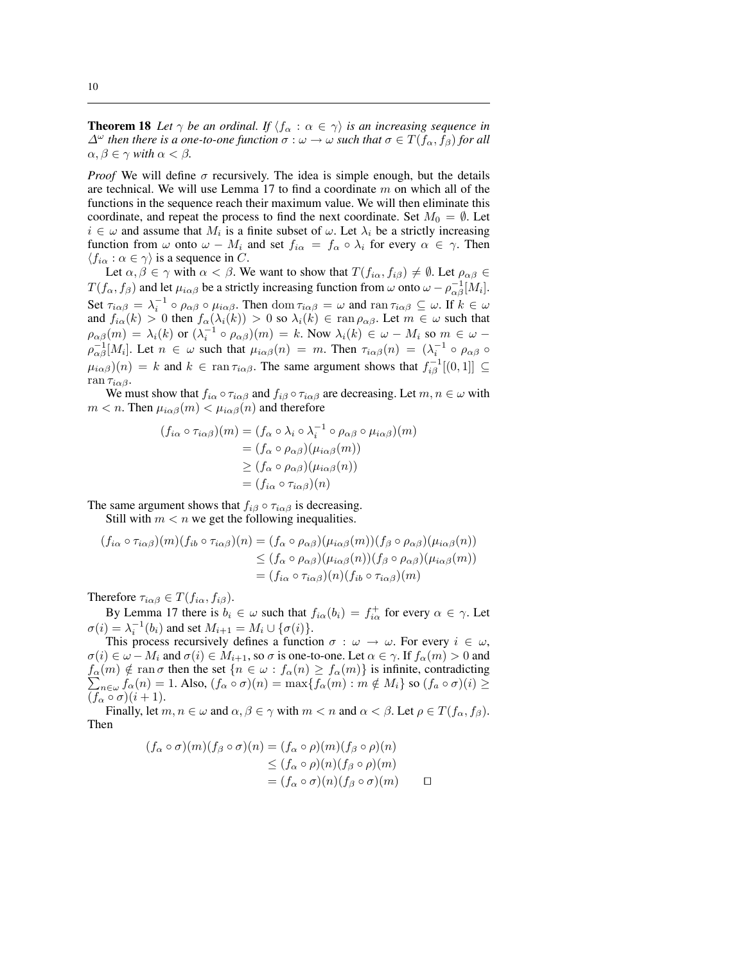**Theorem 18** Let  $\gamma$  be an ordinal. If  $\langle f_{\alpha} : \alpha \in \gamma \rangle$  is an increasing sequence in  $\Delta^{\omega}$  *then there is a one-to-one function*  $\sigma : \omega \to \omega$  *such that*  $\sigma \in T(f_{\alpha}, f_{\beta})$  *for all*  $\alpha, \beta \in \gamma$  *with*  $\alpha < \beta$ *.* 

*Proof* We will define  $\sigma$  recursively. The idea is simple enough, but the details are technical. We will use Lemma 17 to find a coordinate  $m$  on which all of the functions in the sequence reach their maximum value. We will then eliminate this coordinate, and repeat the process to find the next coordinate. Set  $M_0 = \emptyset$ . Let  $i \in \omega$  and assume that  $M_i$  is a finite subset of  $\omega$ . Let  $\lambda_i$  be a strictly increasing function from  $\omega$  onto  $\omega - M_i$  and set  $f_{i\alpha} = f_{\alpha} \circ \lambda_i$  for every  $\alpha \in \gamma$ . Then  $\langle f_{i\alpha} : \alpha \in \gamma \rangle$  is a sequence in C.

Let  $\alpha, \beta \in \gamma$  with  $\alpha < \beta$ . We want to show that  $T(f_{i\alpha}, f_{i\beta}) \neq \emptyset$ . Let  $\rho_{\alpha\beta} \in$  $T(f_{\alpha}, f_{\beta})$  and let  $\mu_{i\alpha\beta}$  be a strictly increasing function from  $\omega$  onto  $\omega - \rho_{\alpha\beta}^{-1}[M_i]$ . Set  $\tau_{i\alpha\beta} = \lambda_i^{-1} \circ \rho_{\alpha\beta} \circ \mu_{i\alpha\beta}$ . Then  $\text{dom } \tau_{i\alpha\beta} = \omega$  and  $\text{ran } \tau_{i\alpha\beta} \subseteq \omega$ . If  $k \in \omega$ and  $f_{i\alpha}(k) > 0$  then  $f_{\alpha}(\lambda_i(k)) > 0$  so  $\lambda_i(k) \in \text{ran } \rho_{\alpha\beta}$ . Let  $m \in \omega$  such that  $\rho_{\alpha\beta}(m) = \lambda_i(k)$  or  $(\lambda_i^{-1} \circ \rho_{\alpha\beta})(m) = k$ . Now  $\lambda_i(k) \in \omega - M_i$  so  $m \in \omega$  $\rho_{\alpha\beta}^{-1}[M_i]$ . Let  $n \in \omega$  such that  $\mu_{i\alpha\beta}(n) = m$ . Then  $\tau_{i\alpha\beta}(n) = (\lambda_i^{-1} \circ \rho_{\alpha\beta} \circ$  $\mu_{i\alpha\beta}(n) = k$  and  $k \in \text{ran } \tau_{i\alpha\beta}$ . The same argument shows that  $f_{i\beta}^{-1}[(0,1]] \subseteq$ ran  $\tau_{i\alpha\beta}$ .

We must show that  $f_{i\alpha} \circ \tau_{i\alpha\beta}$  and  $f_{i\beta} \circ \tau_{i\alpha\beta}$  are decreasing. Let  $m, n \in \omega$  with  $m < n$ . Then  $\mu_{i\alpha\beta}(m) < \mu_{i\alpha\beta}(n)$  and therefore

$$
(f_{i\alpha} \circ \tau_{i\alpha\beta})(m) = (f_{\alpha} \circ \lambda_i \circ \lambda_i^{-1} \circ \rho_{\alpha\beta} \circ \mu_{i\alpha\beta})(m)
$$
  

$$
= (f_{\alpha} \circ \rho_{\alpha\beta})(\mu_{i\alpha\beta}(m))
$$
  

$$
\ge (f_{\alpha} \circ \rho_{\alpha\beta})(\mu_{i\alpha\beta}(n))
$$
  

$$
= (f_{i\alpha} \circ \tau_{i\alpha\beta})(n)
$$

The same argument shows that  $f_{i\beta} \circ \tau_{i\alpha\beta}$  is decreasing.

Still with  $m < n$  we get the following inequalities.

$$
(f_{i\alpha} \circ \tau_{i\alpha\beta})(m)(f_{ib} \circ \tau_{i\alpha\beta})(n) = (f_{\alpha} \circ \rho_{\alpha\beta})(\mu_{i\alpha\beta}(m))(f_{\beta} \circ \rho_{\alpha\beta})(\mu_{i\alpha\beta}(n))
$$
  
\n
$$
\leq (f_{\alpha} \circ \rho_{\alpha\beta})(\mu_{i\alpha\beta}(n))(f_{\beta} \circ \rho_{\alpha\beta})(\mu_{i\alpha\beta}(m))
$$
  
\n
$$
= (f_{i\alpha} \circ \tau_{i\alpha\beta})(n)(f_{ib} \circ \tau_{i\alpha\beta})(m)
$$

Therefore  $\tau_{i\alpha\beta} \in T(f_{i\alpha}, f_{i\beta})$ .

By Lemma 17 there is  $b_i \in \omega$  such that  $f_{i\alpha}(b_i) = f_{i\alpha}^+$  for every  $\alpha \in \gamma$ . Let  $\sigma(i) = \lambda_i^{-1}(b_i)$  and set  $M_{i+1} = M_i \cup {\{\sigma(i)\}}$ .

This process recursively defines a function  $\sigma : \omega \to \omega$ . For every  $i \in \omega$ ,  $\sigma(i) \in \omega - M_i$  and  $\sigma(i) \in M_{i+1}$ , so  $\sigma$  is one-to-one. Let  $\alpha \in \gamma$ . If  $f_\alpha(m) > 0$  and  $f_{\alpha}(m) \notin \text{ran }\sigma \text{ then the set } \{n \in \omega : f_{\alpha}(n) \geq f_{\alpha}(m)\} \text{ is infinite, contradicting }$  $n \in \mathcal{A}$   $f_{\alpha}(n) = 1$ . Also,  $(f_{\alpha} \circ \sigma)(n) = \max\{f_{\alpha}(m) : m \notin M_i\}$  so  $(f_{\alpha} \circ \sigma)(i) \ge$  $(f_{\alpha} \circ \sigma)(i+1).$ 

Finally, let  $m, n \in \omega$  and  $\alpha, \beta \in \gamma$  with  $m < n$  and  $\alpha < \beta$ . Let  $\rho \in T(f_{\alpha}, f_{\beta})$ . Then

$$
(f_{\alpha} \circ \sigma)(m)(f_{\beta} \circ \sigma)(n) = (f_{\alpha} \circ \rho)(m)(f_{\beta} \circ \rho)(n)
$$
  
\n
$$
\leq (f_{\alpha} \circ \rho)(n)(f_{\beta} \circ \rho)(m)
$$
  
\n
$$
= (f_{\alpha} \circ \sigma)(n)(f_{\beta} \circ \sigma)(m) \qquad \Box
$$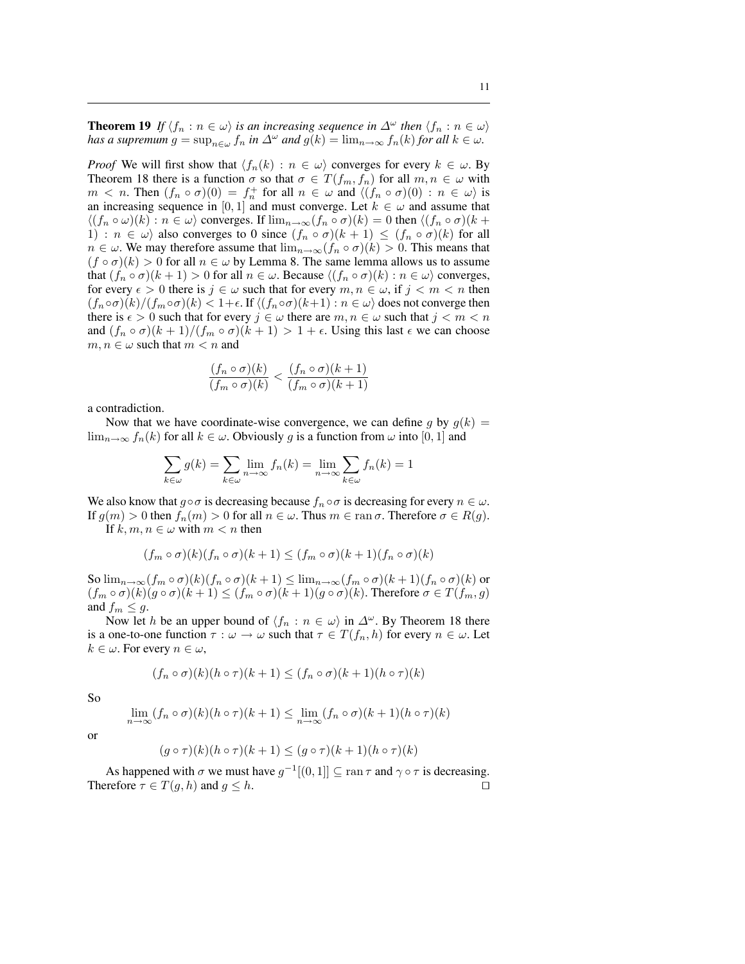**Theorem 19** *If*  $\langle f_n : n \in \omega \rangle$  *is an increasing sequence in*  $\Delta^{\omega}$  *then*  $\langle f_n : n \in \omega \rangle$ *has a supremum*  $g = \sup_{n \in \omega} f_n$  *in*  $\Delta^{\omega}$  *and*  $g(k) = \lim_{n \to \infty} f_n(k)$  *for all*  $k \in \omega$ *.* 

*Proof* We will first show that  $\langle f_n(k) : n \in \omega \rangle$  converges for every  $k \in \omega$ . By Theorem 18 there is a function  $\sigma$  so that  $\sigma \in T(f_m, f_n)$  for all  $m, n \in \omega$  with  $m < n$ . Then  $(f_n \circ \sigma)(0) = f_n^+$  for all  $n \in \omega$  and  $\langle (f_n \circ \sigma)(0) : n \in \omega \rangle$  is an increasing sequence in [0, 1] and must converge. Let  $k \in \omega$  and assume that  $\langle (f_n \circ \omega)(k) : n \in \omega \rangle$  converges. If  $\lim_{n \to \infty} (f_n \circ \sigma)(k) = 0$  then  $\langle (f_n \circ \sigma)(k) \rangle$ 1) :  $n \in \omega$  also converges to 0 since  $(f_n \circ \sigma)(k+1) \leq (f_n \circ \sigma)(k)$  for all  $n \in \omega$ . We may therefore assume that  $\lim_{n \to \infty} (f_n \circ \sigma)(k) > 0$ . This means that  $(f \circ \sigma)(k) > 0$  for all  $n \in \omega$  by Lemma 8. The same lemma allows us to assume that  $(f_n \circ \sigma)(k+1) > 0$  for all  $n \in \omega$ . Because  $\langle (f_n \circ \sigma)(k) : n \in \omega \rangle$  converges, for every  $\epsilon > 0$  there is  $j \in \omega$  such that for every  $m, n \in \omega$ , if  $j < m < n$  then  $(f_n \circ \sigma)(k)/(f_m \circ \sigma)(k) < 1+\epsilon$ . If  $\langle (f_n \circ \sigma)(k+1) : n \in \omega \rangle$  does not converge then there is  $\epsilon > 0$  such that for every  $j \in \omega$  there are  $m, n \in \omega$  such that  $j < m < n$ and  $(f_n \circ \sigma)(k+1)/(f_m \circ \sigma)(k+1) > 1 + \epsilon$ . Using this last  $\epsilon$  we can choose  $m, n \in \omega$  such that  $m < n$  and

$$
\frac{(f_n \circ \sigma)(k)}{(f_m \circ \sigma)(k)} < \frac{(f_n \circ \sigma)(k+1)}{(f_m \circ \sigma)(k+1)}
$$

a contradiction.

Now that we have coordinate-wise convergence, we can define g by  $g(k) =$  $\lim_{n\to\infty} f_n(k)$  for all  $k \in \omega$ . Obviously g is a function from  $\omega$  into [0, 1] and

$$
\sum_{k \in \omega} g(k) = \sum_{k \in \omega} \lim_{n \to \infty} f_n(k) = \lim_{n \to \infty} \sum_{k \in \omega} f_n(k) = 1
$$

We also know that  $g \circ \sigma$  is decreasing because  $f_n \circ \sigma$  is decreasing for every  $n \in \omega$ . If  $g(m) > 0$  then  $f_n(m) > 0$  for all  $n \in \omega$ . Thus  $m \in \text{ran }\sigma$ . Therefore  $\sigma \in R(g)$ .

If  $k, m, n \in \omega$  with  $m < n$  then

$$
(f_m \circ \sigma)(k)(f_n \circ \sigma)(k+1) \le (f_m \circ \sigma)(k+1)(f_n \circ \sigma)(k)
$$

So  $\lim_{n\to\infty} (f_m \circ \sigma)(k)(f_n \circ \sigma)(k+1) \leq \lim_{n\to\infty} (f_m \circ \sigma)(k+1)(f_n \circ \sigma)(k)$  or  $(f_m \circ \sigma)(k)(g \circ \sigma)(k+1) \leq (f_m \circ \sigma)(k+1)(g \circ \sigma)(k)$ . Therefore  $\sigma \in T(f_m, g)$ and  $f_m \leq g$ .

Now let h be an upper bound of  $\langle f_n : n \in \omega \rangle$  in  $\Delta^{\omega}$ . By Theorem 18 there is a one-to-one function  $\tau : \omega \to \omega$  such that  $\tau \in T(f_n, h)$  for every  $n \in \omega$ . Let  $k \in \omega$ . For every  $n \in \omega$ ,

$$
(f_n \circ \sigma)(k)(h \circ \tau)(k+1) \le (f_n \circ \sigma)(k+1)(h \circ \tau)(k)
$$

So

$$
\lim_{n \to \infty} (f_n \circ \sigma)(k)(h \circ \tau)(k+1) \le \lim_{n \to \infty} (f_n \circ \sigma)(k+1)(h \circ \tau)(k)
$$

or

$$
(g \circ \tau)(k)(h \circ \tau)(k+1) \le (g \circ \tau)(k+1)(h \circ \tau)(k)
$$

As happened with  $\sigma$  we must have  $g^{-1}[(0,1]] \subseteq \text{ran } \tau$  and  $\gamma \circ \tau$  is decreasing. Therefore  $\tau \in T(g, h)$  and  $g \leq h$ .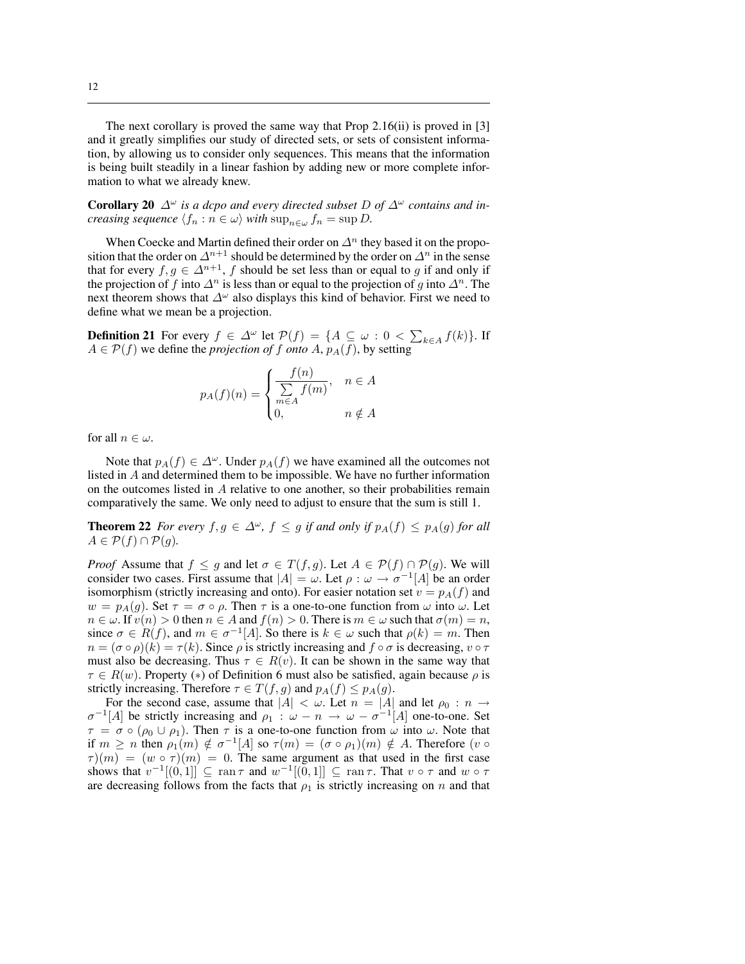The next corollary is proved the same way that Prop 2.16(ii) is proved in [3] and it greatly simplifies our study of directed sets, or sets of consistent information, by allowing us to consider only sequences. This means that the information is being built steadily in a linear fashion by adding new or more complete information to what we already knew.

**Corollary 20**  $\Delta^{\omega}$  *is a dcpo and every directed subset* D *of*  $\Delta^{\omega}$  *contains and increasing sequence*  $\langle f_n : n \in \omega \rangle$  *with*  $\sup_{n \in \omega} f_n = \sup D$ .

When Coecke and Martin defined their order on  $\Delta^n$  they based it on the proposition that the order on  $\Delta^{n+1}$  should be determined by the order on  $\Delta^n$  in the sense that for every  $f, g \in \Delta^{n+1}$ , f should be set less than or equal to g if and only if the projection of f into  $\Delta^n$  is less than or equal to the projection of g into  $\Delta^n$ . The next theorem shows that  $\Delta^{\omega}$  also displays this kind of behavior. First we need to define what we mean be a projection.

**Definition 21** For every  $f \in \Delta^{\omega}$  let  $\mathcal{P}(f) = \{A \subseteq \omega : 0 < \sum_{k \in A} f(k)\}\)$ . If  $A \in \mathcal{P}(f)$  we define the *projection of* f *onto* A,  $p_A(f)$ , by setting

$$
p_A(f)(n) = \begin{cases} \frac{f(n)}{\sum\limits_{m \in A} f(m)}, & n \in A \\ 0, & n \notin A \end{cases}
$$

for all  $n \in \omega$ .

Note that  $p_A(f) \in \Delta^{\omega}$ . Under  $p_A(f)$  we have examined all the outcomes not listed in A and determined them to be impossible. We have no further information on the outcomes listed in A relative to one another, so their probabilities remain comparatively the same. We only need to adjust to ensure that the sum is still 1.

**Theorem 22** *For every*  $f, g \in \Delta^{\omega}$ ,  $f \leq g$  *if and only if*  $p_A(f) \leq p_A(g)$  *for all*  $A \in \mathcal{P}(f) \cap \mathcal{P}(g)$ .

*Proof* Assume that  $f \leq g$  and let  $\sigma \in T(f, g)$ . Let  $A \in \mathcal{P}(f) \cap \mathcal{P}(g)$ . We will consider two cases. First assume that  $|A| = \omega$ . Let  $\rho : \omega \to \sigma^{-1}[A]$  be an order isomorphism (strictly increasing and onto). For easier notation set  $v = p<sub>A</sub>(f)$  and  $w = p_A(g)$ . Set  $\tau = \sigma \circ \rho$ . Then  $\tau$  is a one-to-one function from  $\omega$  into  $\omega$ . Let  $n \in \omega$ . If  $v(n) > 0$  then  $n \in A$  and  $f(n) > 0$ . There is  $m \in \omega$  such that  $\sigma(m) = n$ , since  $\sigma \in R(f)$ , and  $m \in \sigma^{-1}[A]$ . So there is  $k \in \omega$  such that  $\rho(k) = m$ . Then  $n = (\sigma \circ \rho)(k) = \tau(k)$ . Since  $\rho$  is strictly increasing and  $f \circ \sigma$  is decreasing,  $v \circ \tau$ must also be decreasing. Thus  $\tau \in R(v)$ . It can be shown in the same way that  $\tau \in R(w)$ . Property (\*) of Definition 6 must also be satisfied, again because  $\rho$  is strictly increasing. Therefore  $\tau \in T(f, g)$  and  $p_A(f) \leq p_A(g)$ .

For the second case, assume that  $|A| < \omega$ . Let  $n = |A|$  and let  $\rho_0 : n \to \infty$  $\sigma^{-1}[A]$  be strictly increasing and  $\rho_1$  :  $\omega - n \to \omega - \sigma^{-1}[A]$  one-to-one. Set  $\tau = \sigma \circ (\rho_0 \cup \rho_1)$ . Then  $\tau$  is a one-to-one function from  $\omega$  into  $\omega$ . Note that if  $m \geq n$  then  $\rho_1(m) \notin \sigma^{-1}[A]$  so  $\tau(m) = (\sigma \circ \rho_1)(m) \notin A$ . Therefore  $(v \circ$  $\tau(m) = (w \circ \tau)(m) = 0$ . The same argument as that used in the first case shows that  $v^{-1}[(0,1)] \subseteq \text{ran }\tau$  and  $w^{-1}[(0,1]] \subseteq \text{ran }\tau$ . That  $v \circ \tau$  and  $w \circ \tau$ are decreasing follows from the facts that  $\rho_1$  is strictly increasing on n and that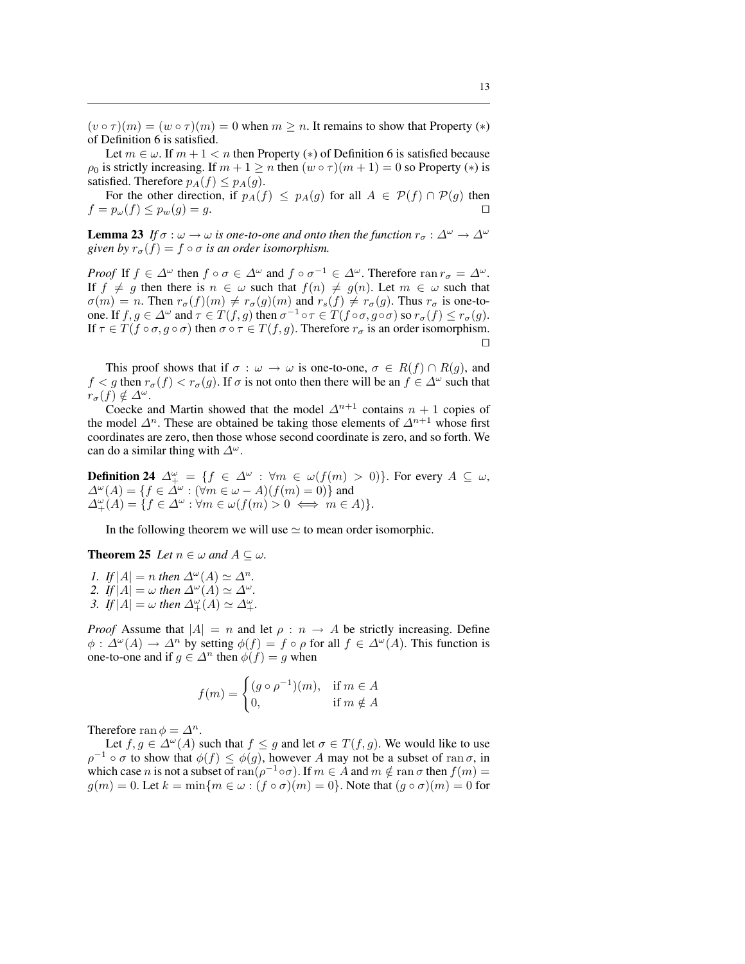$(v \circ \tau)(m) = (w \circ \tau)(m) = 0$  when  $m \geq n$ . It remains to show that Property  $(*)$ of Definition 6 is satisfied.

Let  $m \in \omega$ . If  $m + 1 < n$  then Property (\*) of Definition 6 is satisfied because  $\rho_0$  is strictly increasing. If  $m + 1 \ge n$  then  $(w \circ \tau)(m + 1) = 0$  so Property  $(*)$  is satisfied. Therefore  $p_A(f) \leq p_A(g)$ .

For the other direction, if  $p_A(f) \leq p_A(g)$  for all  $A \in \mathcal{P}(f) \cap \mathcal{P}(g)$  then  $f = p_{\omega}(f) \leq p_{w}(g) = q.$ 

**Lemma 23** *If*  $\sigma : \omega \to \omega$  *is one-to-one and onto then the function*  $r_{\sigma} : \Delta^{\omega} \to \Delta^{\omega}$ *given by*  $r_{\sigma}(f) = f \circ \sigma$  *is an order isomorphism.* 

*Proof* If  $f \in \Delta^{\omega}$  then  $f \circ \sigma \in \Delta^{\omega}$  and  $f \circ \sigma^{-1} \in \Delta^{\omega}$ . Therefore ran  $r_{\sigma} = \Delta^{\omega}$ . If  $f \neq g$  then there is  $n \in \omega$  such that  $f(n) \neq g(n)$ . Let  $m \in \omega$  such that  $\sigma(m) = n$ . Then  $r_{\sigma}(f)(m) \neq r_{\sigma}(g)(m)$  and  $r_s(f) \neq r_{\sigma}(g)$ . Thus  $r_{\sigma}$  is one-toone. If  $f, g \in \Delta^{\omega}$  and  $\tau \in T(f, g)$  then  $\sigma^{-1} \circ \tau \in T(f \circ \sigma, g \circ \sigma)$  so  $r_{\sigma}(f) \leq r_{\sigma}(g)$ . If  $\tau \in T(f \circ \sigma, g \circ \sigma)$  then  $\sigma \circ \tau \in T(f, g)$ . Therefore  $r_{\sigma}$  is an order isomorphism.  $\Box$ 

This proof shows that if  $\sigma : \omega \to \omega$  is one-to-one,  $\sigma \in R(f) \cap R(g)$ , and  $f < g$  then  $r_{\sigma}(f) < r_{\sigma}(g)$ . If  $\sigma$  is not onto then there will be an  $f \in \Delta^{\omega}$  such that  $r_{\sigma}(f) \notin \Delta^{\omega}$ .

Coecke and Martin showed that the model  $\Delta^{n+1}$  contains  $n+1$  copies of the model  $\Delta^n$ . These are obtained be taking those elements of  $\Delta^{n+1}$  whose first coordinates are zero, then those whose second coordinate is zero, and so forth. We can do a similar thing with  $\Delta^{\omega}$ .

**Definition 24**  $\Delta^{\omega}_+ = \{f \in \Delta^{\omega} : \forall m \in \omega(f(m) > 0)\}.$  For every  $A \subseteq \omega$ ,  $\Delta^{\omega}(A) = \{f \in \Delta^{\omega} : (\forall m \in \omega - A)(f(m) = 0)\}\$ and  $\Delta^{\omega}_+(A) = \{ f \in \Delta^{\omega} : \forall m \in \omega(f(m) > 0 \iff m \in A) \}.$ 

In the following theorem we will use  $\simeq$  to mean order isomorphic.

**Theorem 25** *Let*  $n \in \omega$  *and*  $A \subseteq \omega$ *.* 

*1. If*  $|A| = n$  *then*  $\Delta^{\omega}(A) \simeq \Delta^n$ . *2. If*  $|A| = \omega$  *then*  $\Delta^{\omega}(A) \simeq \Delta^{\omega}$ *. 3. If*  $|A| = \omega$  *then*  $\Delta_+^{\omega}(A) \simeq \Delta_+^{\omega}$ .

*Proof* Assume that  $|A| = n$  and let  $\rho : n \to A$  be strictly increasing. Define  $\phi : \Delta^{\omega}(A) \to \Delta^n$  by setting  $\phi(f) = f \circ \rho$  for all  $f \in \Delta^{\omega}(A)$ . This function is one-to-one and if  $g \in \Delta^n$  then  $\phi(f) = g$  when

$$
f(m) = \begin{cases} (g \circ \rho^{-1})(m), & \text{if } m \in A \\ 0, & \text{if } m \notin A \end{cases}
$$

Therefore ran  $\phi = \Delta^n$ .

Let  $f, g \in \Delta^{\omega}(A)$  such that  $f \leq g$  and let  $\sigma \in T(f, g)$ . We would like to use  $\rho^{-1} \circ \sigma$  to show that  $\phi(f) \leq \phi(g)$ , however A may not be a subset of ran  $\sigma$ , in which case n is not a subset of ran $(\rho^{-1} \circ \sigma)$ . If  $m \in A$  and  $m \notin \text{ran } \sigma$  then  $f(m) =$  $g(m) = 0$ . Let  $k = \min\{m \in \omega : (f \circ \sigma)(m) = 0\}$ . Note that  $(g \circ \sigma)(m) = 0$  for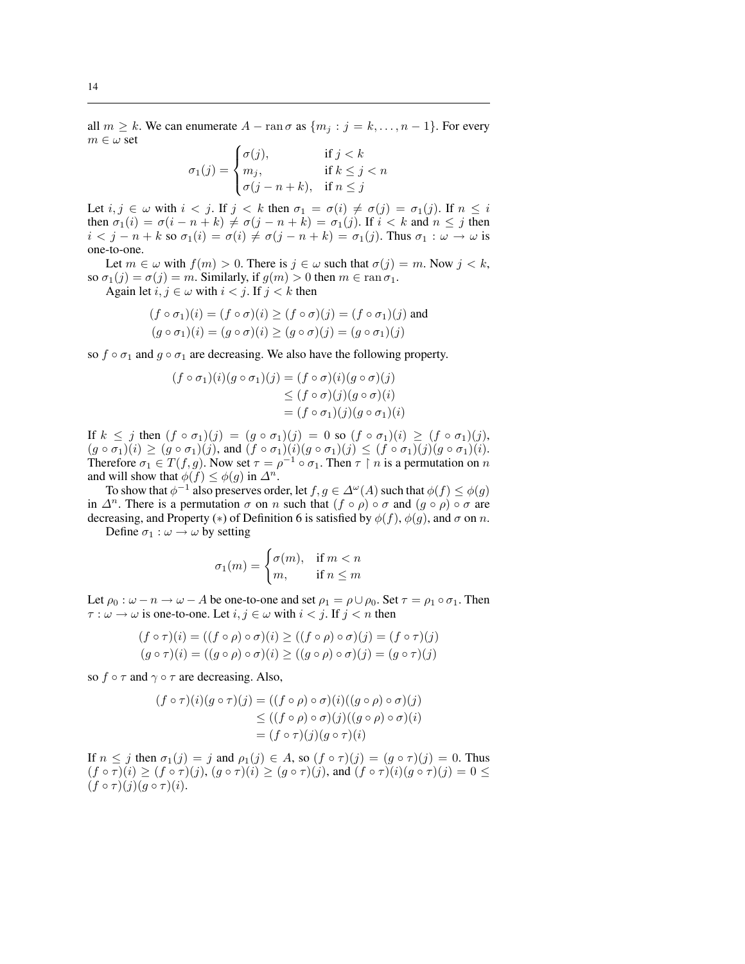all  $m \geq k$ . We can enumerate  $A - \text{ran }\sigma$  as  $\{m_j : j = k, \ldots, n-1\}$ . For every  $m \in \omega$  set  $\overline{a}$ 

$$
\sigma_1(j) = \begin{cases} \sigma(j), & \text{if } j < k \\ m_j, & \text{if } k \le j < n \\ \sigma(j - n + k), & \text{if } n \le j \end{cases}
$$

Let  $i, j \in \omega$  with  $i < j$ . If  $j < k$  then  $\sigma_1 = \sigma(i) \neq \sigma(j) = \sigma_1(j)$ . If  $n \leq i$ then  $\sigma_1(i) = \sigma(i - n + k) \neq \sigma(j - n + k) = \sigma_1(j)$ . If  $i < k$  and  $n \leq j$  then  $i < j - n + k$  so  $\sigma_1(i) = \sigma(i) \neq \sigma(j - n + k) = \sigma_1(j)$ . Thus  $\sigma_1 : \omega \to \omega$  is one-to-one.

Let  $m \in \omega$  with  $f(m) > 0$ . There is  $j \in \omega$  such that  $\sigma(j) = m$ . Now  $j < k$ , so  $\sigma_1(j) = \sigma(j) = m$ . Similarly, if  $g(m) > 0$  then  $m \in \text{ran } \sigma_1$ .

Again let  $i, j \in \omega$  with  $i < j$ . If  $j < k$  then

$$
(f \circ \sigma_1)(i) = (f \circ \sigma)(i) \ge (f \circ \sigma)(j) = (f \circ \sigma_1)(j)
$$
 and  

$$
(g \circ \sigma_1)(i) = (g \circ \sigma)(i) \ge (g \circ \sigma)(j) = (g \circ \sigma_1)(j)
$$

so  $f \circ \sigma_1$  and  $g \circ \sigma_1$  are decreasing. We also have the following property.

$$
(f \circ \sigma_1)(i)(g \circ \sigma_1)(j) = (f \circ \sigma)(i)(g \circ \sigma)(j)
$$
  
\n
$$
\leq (f \circ \sigma)(j)(g \circ \sigma)(i)
$$
  
\n
$$
= (f \circ \sigma_1)(j)(g \circ \sigma_1)(i)
$$

If  $k \leq j$  then  $(f \circ \sigma_1)(j) = (g \circ \sigma_1)(j) = 0$  so  $(f \circ \sigma_1)(i) \geq (f \circ \sigma_1)(j)$ ,  $(g \circ \sigma_1)(i) \geq (g \circ \sigma_1)(j)$ , and  $(f \circ \sigma_1)(i)(g \circ \sigma_1)(j) \leq (f \circ \sigma_1)(j)(g \circ \sigma_1)(i)$ . Therefore  $\sigma_1 \in T(f, g)$ . Now set  $\tau = \rho^{-1} \circ \sigma_1$ . Then  $\tau \restriction n$  is a permutation on n and will show that  $\phi(f) \leq \phi(g)$  in  $\Delta^n$ .

To show that  $\phi^{-1}$  also preserves order, let  $f, g \in \Delta^{\omega}(A)$  such that  $\phi(f) \leq \phi(g)$ in  $\Delta^n$ . There is a permutation  $\sigma$  on n such that  $(f \circ \rho) \circ \sigma$  and  $(g \circ \rho) \circ \sigma$  are decreasing, and Property (\*) of Definition 6 is satisfied by  $\phi(f)$ ,  $\phi(g)$ , and  $\sigma$  on n.

Define  $\sigma_1 : \omega \to \omega$  by setting

$$
\sigma_1(m) = \begin{cases} \sigma(m), & \text{if } m < n \\ m, & \text{if } n \le m \end{cases}
$$

Let  $\rho_0 : \omega - n \to \omega - A$  be one-to-one and set  $\rho_1 = \rho \cup \rho_0$ . Set  $\tau = \rho_1 \circ \sigma_1$ . Then  $\tau : \omega \to \omega$  is one-to-one. Let  $i, j \in \omega$  with  $i < j$ . If  $j < n$  then

$$
(f \circ \tau)(i) = ((f \circ \rho) \circ \sigma)(i) \ge ((f \circ \rho) \circ \sigma)(j) = (f \circ \tau)(j)
$$
  

$$
(g \circ \tau)(i) = ((g \circ \rho) \circ \sigma)(i) \ge ((g \circ \rho) \circ \sigma)(j) = (g \circ \tau)(j)
$$

so  $f \circ \tau$  and  $\gamma \circ \tau$  are decreasing. Also,

$$
(f \circ \tau)(i)(g \circ \tau)(j) = ((f \circ \rho) \circ \sigma)(i)((g \circ \rho) \circ \sigma)(j)
$$
  
\n
$$
\leq ((f \circ \rho) \circ \sigma)(j)((g \circ \rho) \circ \sigma)(i)
$$
  
\n
$$
= (f \circ \tau)(j)(g \circ \tau)(i)
$$

If  $n \leq j$  then  $\sigma_1(j) = j$  and  $\rho_1(j) \in A$ , so  $(f \circ \tau)(j) = (g \circ \tau)(j) = 0$ . Thus  $(f \circ \tau)(i) \geq (f \circ \tau)(j), (g \circ \tau)(i) \geq (g \circ \tau)(j)$ , and  $(f \circ \tau)(i)(g \circ \tau)(j) = 0 \leq j$  $(f \circ \tau)(j)(g \circ \tau)(i).$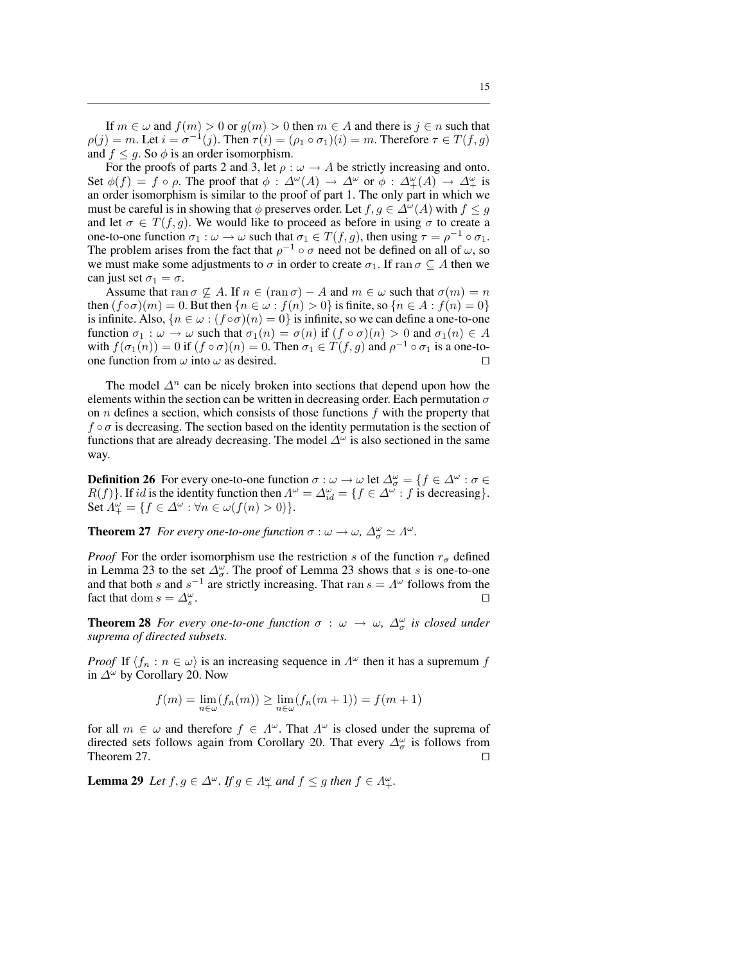If  $m \in \omega$  and  $f(m) > 0$  or  $g(m) > 0$  then  $m \in A$  and there is  $j \in n$  such that  $\rho(j) = m$ . Let  $i = \sigma^{-1}(j)$ . Then  $\tau(i) = (\rho_1 \circ \sigma_1)(i) = m$ . Therefore  $\tau \in T(f, g)$ and  $f \leq g$ . So  $\phi$  is an order isomorphism.

For the proofs of parts 2 and 3, let  $\rho : \omega \to A$  be strictly increasing and onto. Set  $\phi(f) = f \circ \rho$ . The proof that  $\phi : \Delta^{\omega}(A) \to \Delta^{\omega}$  or  $\phi : \Delta^{\omega}(A) \to \Delta^{\omega}_+$  is an order isomorphism is similar to the proof of part 1. The only part in which we must be careful is in showing that  $\phi$  preserves order. Let  $f, g \in \Delta^{\omega}(A)$  with  $f \leq g$ and let  $\sigma \in T(f, g)$ . We would like to proceed as before in using  $\sigma$  to create a one-to-one function  $\sigma_1 : \omega \to \omega$  such that  $\sigma_1 \in T(f, g)$ , then using  $\tau = \rho^{-1} \circ \sigma_1$ . The problem arises from the fact that  $\rho^{-1} \circ \sigma$  need not be defined on all of  $\omega$ , so we must make some adjustments to  $\sigma$  in order to create  $\sigma_1$ . If ran  $\sigma \subseteq A$  then we can just set  $\sigma_1 = \sigma$ .

Assume that ran  $\sigma \nsubseteq A$ . If  $n \in (\operatorname{ran} \sigma) - A$  and  $m \in \omega$  such that  $\sigma(m) = n$ then  $(f \circ \sigma)(m) = 0$ . But then  $\{n \in \omega : f(n) > 0\}$  is finite, so  $\{n \in A : f(n) = 0\}$ is infinite. Also,  $\{n \in \omega : (f \circ \sigma)(n) = 0\}$  is infinite, so we can define a one-to-one function  $\sigma_1 : \omega \to \omega$  such that  $\sigma_1(n) = \sigma(n)$  if  $(f \circ \sigma)(n) > 0$  and  $\sigma_1(n) \in A$ with  $f(\sigma_1(n)) = 0$  if  $(f \circ \sigma)(n) = 0$ . Then  $\sigma_1 \in T(f, g)$  and  $\rho^{-1} \circ \sigma_1$  is a one-toone function from  $\omega$  into  $\omega$  as desired.  $\square$ 

The model  $\Delta^n$  can be nicely broken into sections that depend upon how the elements within the section can be written in decreasing order. Each permutation  $\sigma$ on  $n$  defines a section, which consists of those functions  $f$  with the property that  $f \circ \sigma$  is decreasing. The section based on the identity permutation is the section of functions that are already decreasing. The model  $\Delta^{\omega}$  is also sectioned in the same way.

**Definition 26** For every one-to-one function  $\sigma : \omega \to \omega$  let  $\Delta_{\sigma}^{\omega} = \{f \in \Delta^{\omega} : \sigma \in \Delta^{\omega}\}$  $R(f)$ . If id is the identity function then  $\Lambda^{\omega} = \Lambda^{\omega}_{id} = \{f \in \Lambda^{\omega} : f$  is decreasing. Set  $A^{\omega}_{+} = \{ f \in \Delta^{\omega} : \forall n \in \omega(f(n) > 0) \}.$ 

**Theorem 27** *For every one-to-one function*  $\sigma : \omega \to \omega$ ,  $\Delta_{\sigma}^{\omega} \simeq \Lambda^{\omega}$ .

*Proof* For the order isomorphism use the restriction s of the function  $r_{\sigma}$  defined in Lemma 23 to the set  $\Delta_{\sigma}^{\omega}$ . The proof of Lemma 23 shows that s is one-to-one and that both s and  $s^{-1}$  are strictly increasing. That ran  $s = \Lambda^{\omega}$  follows from the fact that dom  $s = \Delta_s^{\omega}$ . The contract of the contract of the contract of the contract of the contract of the contract of the contract of the contract of the contract of the contract of the contract of the contract of the contract of the contract

**Theorem 28** *For every one-to-one function*  $\sigma : \omega \to \omega$ ,  $\Delta_{\sigma}^{\omega}$  *is closed under suprema of directed subsets.*

*Proof* If  $\langle f_n : n \in \omega \rangle$  is an increasing sequence in  $\Lambda^{\omega}$  then it has a supremum f in  $\Delta^{\omega}$  by Corollary 20. Now

$$
f(m) = \lim_{n \in \omega} (f_n(m)) \ge \lim_{n \in \omega} (f_n(m+1)) = f(m+1)
$$

for all  $m \in \omega$  and therefore  $f \in \Lambda^{\omega}$ . That  $\Lambda^{\omega}$  is closed under the suprema of directed sets follows again from Corollary 20. That every  $\Delta_{\sigma}^{\omega}$  is follows from Theorem 27.  $\Box$ 

**Lemma 29** Let  $f, g \in \Delta^{\omega}$ . If  $g \in \Lambda^{\omega}_+$  and  $f \leq g$  then  $f \in \Lambda^{\omega}_+$ .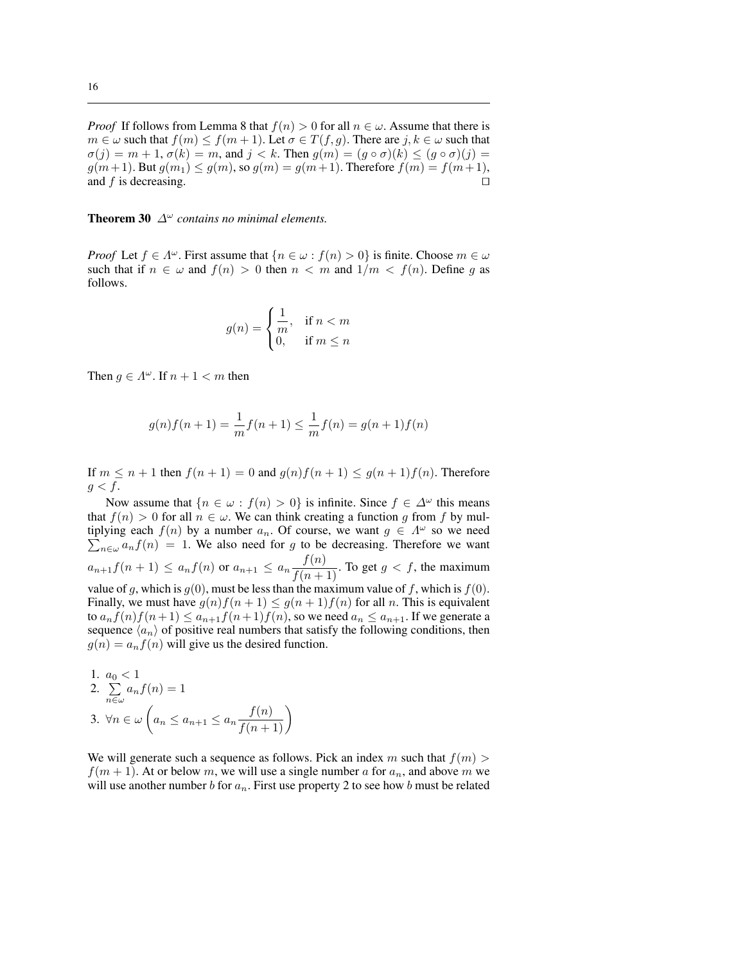*Proof* If follows from Lemma 8 that  $f(n) > 0$  for all  $n \in \omega$ . Assume that there is  $m \in \omega$  such that  $f(m) \le f(m+1)$ . Let  $\sigma \in T(f,g)$ . There are  $j, k \in \omega$  such that  $\sigma(j) = m + 1, \sigma(k) = m$ , and  $j < k$ . Then  $g(m) = (g \circ \sigma)(k) \le (g \circ \sigma)(j) =$  $g(m+1)$ . But  $g(m_1) \le g(m)$ , so  $g(m) = g(m+1)$ . Therefore  $f(m) = f(m+1)$ , and f is decreasing.  $\Box$ 

**Theorem 30**  $\Delta^{\omega}$  *contains no minimal elements.* 

*Proof* Let  $f \in \Lambda^{\omega}$ . First assume that  $\{n \in \omega : f(n) > 0\}$  is finite. Choose  $m \in \omega$ such that if  $n \in \omega$  and  $f(n) > 0$  then  $n < m$  and  $1/m < f(n)$ . Define q as follows.

$$
g(n) = \begin{cases} \frac{1}{m}, & \text{if } n < m \\ 0, & \text{if } m \le n \end{cases}
$$

Then  $g \in A^{\omega}$ . If  $n + 1 < m$  then

$$
g(n)f(n+1) = \frac{1}{m}f(n+1) \le \frac{1}{m}f(n) = g(n+1)f(n)
$$

If  $m \leq n+1$  then  $f(n+1) = 0$  and  $g(n)f(n+1) \leq g(n+1)f(n)$ . Therefore  $g < f$ .

Now assume that  $\{n \in \omega : f(n) > 0\}$  is infinite. Since  $f \in \Delta^{\omega}$  this means that  $f(n) > 0$  for all  $n \in \omega$ . We can think creating a function g from f by multiplying each  $f(n)$  by a number  $a_n$ . Of course, we want  $g \in \Lambda^\omega$  so we need  $n \in \omega$   $a_n f(n) = 1$ . We also need for g to be decreasing. Therefore we want  $a_{n+1}f(n+1) \le a_nf(n)$  or  $a_{n+1} \le a_n \frac{f(n)}{f(n+1)}$ . To get  $g < f$ , the maximum value of g, which is  $g(0)$ , must be less than the maximum value of f, which is  $f(0)$ . Finally, we must have  $g(n)f(n+1) \leq g(n+1)f(n)$  for all n. This is equivalent to  $a_n f(n) f(n+1) \le a_{n+1} f(n+1) f(n)$ , so we need  $a_n \le a_{n+1}$ . If we generate a sequence  $\langle a_n \rangle$  of positive real numbers that satisfy the following conditions, then  $g(n) = a_n f(n)$  will give us the desired function.

1. 
$$
a_0 < 1
$$
  
\n2.  $\sum_{n \in \omega} a_n f(n) = 1$   
\n3.  $\forall n \in \omega \left( a_n \le a_{n+1} \le a_n \frac{f(n)}{f(n+1)} \right)$ 

We will generate such a sequence as follows. Pick an index m such that  $f(m)$  $f(m + 1)$ . At or below m, we will use a single number a for  $a_n$ , and above m we will use another number b for  $a_n$ . First use property 2 to see how b must be related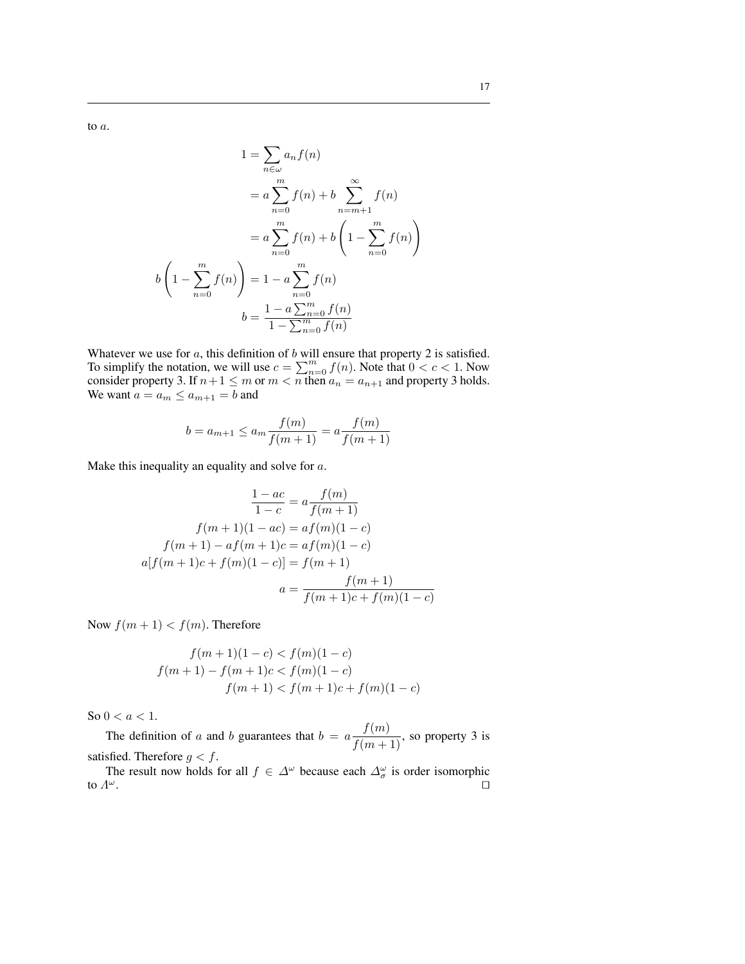to a.

$$
1 = \sum_{n \in \omega} a_n f(n)
$$

$$
= a \sum_{n=0}^{m} f(n) + b \sum_{n=m+1}^{\infty} f(n)
$$

$$
= a \sum_{n=0}^{m} f(n) + b \left( 1 - \sum_{n=0}^{m} f(n) \right)
$$

$$
1 - \sum_{n=0}^{m} f(n) = 1 - a \sum_{n=0}^{m} f(n)
$$

$$
b = \frac{1 - a \sum_{n=0}^{m} f(n)}{1 - \sum_{n=0}^{m} f(n)}
$$

Whatever we use for  $a$ , this definition of  $b$  will ensure that property 2 is satisfied. whatever we use for a, this definition of b will ensure that property 2 is satisfied.<br>To simplify the notation, we will use  $c = \sum_{n=0}^{m} f(n)$ . Note that  $0 < c < 1$ . Now consider property 3. If  $n+1 \le m$  or  $m < n$  then  $a_n = a_{n+1}$  and property 3 holds. We want  $a = a_m \le a_{m+1} = b$  and

$$
b = a_{m+1} \le a_m \frac{f(m)}{f(m+1)} = a \frac{f(m)}{f(m+1)}
$$

Make this inequality an equality and solve for a.

$$
\frac{1 - ac}{1 - c} = a \frac{f(m)}{f(m + 1)}
$$

$$
f(m + 1)(1 - ac) = af(m)(1 - c)
$$

$$
f(m + 1) - af(m + 1)c = af(m)(1 - c)
$$

$$
a[f(m + 1)c + f(m)(1 - c)] = f(m + 1)
$$

$$
a = \frac{f(m + 1)}{f(m + 1)c + f(m)(1 - c)}
$$

Now  $f(m + 1) < f(m)$ . Therefore

 $\mathfrak{b}\left($  $\overline{a}$ 

$$
f(m+1)(1-c) < f(m)(1-c)
$$
  

$$
f(m+1) - f(m+1)c < f(m)(1-c)
$$
  

$$
f(m+1) < f(m+1)c + f(m)(1-c)
$$

So  $0 < a < 1$ .

The definition of a and b guarantees that  $b = a \frac{f(m)}{f(m+1)}$ , so property 3 is satisfied. Therefore  $g < f$ .

The result now holds for all  $f \in \Delta^{\omega}$  because each  $\Delta^{\omega}_{\sigma}$  is order isomorphic to  $\Lambda^{\omega}$ .  $\omega$ .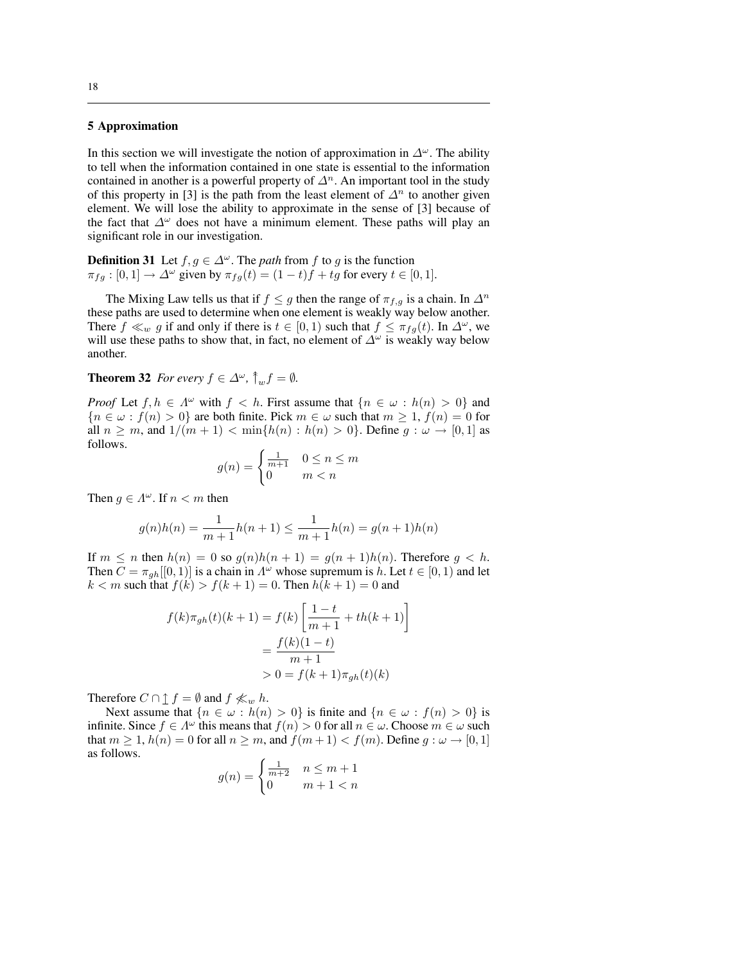#### 5 Approximation

In this section we will investigate the notion of approximation in  $\Delta^{\omega}$ . The ability to tell when the information contained in one state is essential to the information contained in another is a powerful property of  $\Delta^n$ . An important tool in the study of this property in [3] is the path from the least element of  $\Delta^n$  to another given element. We will lose the ability to approximate in the sense of [3] because of the fact that  $\Delta^{\omega}$  does not have a minimum element. These paths will play an significant role in our investigation.

**Definition 31** Let  $f, g \in \Delta^{\omega}$ . The *path* from f to g is the function  $\pi_{fg} : [0,1] \to \Delta^{\omega}$  given by  $\pi_{fg}(t) = (1-t)f + tg$  for every  $t \in [0,1]$ .

The Mixing Law tells us that if  $f \leq g$  then the range of  $\pi_{f,g}$  is a chain. In  $\Delta^n$ these paths are used to determine when one element is weakly way below another. There  $f \ll_w g$  if and only if there is  $t \in [0,1)$  such that  $f \leq \pi_{fg}(t)$ . In  $\Delta^{\omega}$ , we will use these paths to show that, in fact, no element of  $\Delta^{\omega}$  is weakly way below another.

#### **Theorem 32** *For every*  $f \in \Delta^{\omega}$ ,  $\hat{\uparrow}$ <sub>w</sub> $f = \emptyset$ *.*

*Proof* Let  $f, h \in \Lambda^{\omega}$  with  $f < h$ . First assume that  $\{n \in \omega : h(n) > 0\}$  and  ${n \in \omega : f(n) > 0}$  are both finite. Pick  $m \in \omega$  such that  $m \ge 1$ ,  $f(n) = 0$  for all  $n \geq m$ , and  $1/(m+1) < \min\{h(n) : h(n) > 0\}$ . Define  $g: \omega \to [0,1]$  as follows.

$$
g(n) = \begin{cases} \frac{1}{m+1} & 0 \le n \le m\\ 0 & m < n \end{cases}
$$

Then  $g \in \Lambda^{\omega}$ . If  $n < m$  then

$$
g(n)h(n) = \frac{1}{m+1}h(n+1) \le \frac{1}{m+1}h(n) = g(n+1)h(n)
$$

If  $m \leq n$  then  $h(n) = 0$  so  $g(n)h(n+1) = g(n+1)h(n)$ . Therefore  $g < h$ . Then  $C = \pi_{gh}[[0,1)]$  is a chain in  $\Lambda^{\omega}$  whose supremum is h. Let  $t \in [0,1)$  and let  $k < m$  such that  $f(k) > f(k + 1) = 0$ . Then  $h(k + 1) = 0$  and

$$
f(k)\pi_{gh}(t)(k+1) = f(k)\left[\frac{1-t}{m+1} + th(k+1)\right]
$$

$$
= \frac{f(k)(1-t)}{m+1}
$$

$$
> 0 = f(k+1)\pi_{gh}(t)(k)
$$

Therefore  $C \cap \mathbf{1} f = \emptyset$  and  $f \nless w h$ .

Next assume that  $\{n \in \omega : h(n) > 0\}$  is finite and  $\{n \in \omega : f(n) > 0\}$  is infinite. Since  $f \in \Lambda^{\omega}$  this means that  $f(n) > 0$  for all  $n \in \omega$ . Choose  $m \in \omega$  such that  $m \ge 1$ ,  $h(n) = 0$  for all  $n \ge m$ , and  $f(m+1) < f(m)$ . Define  $g: \omega \to [0, 1]$ as follows.

$$
g(n) = \begin{cases} \frac{1}{m+2} & n \le m+1\\ 0 & m+1 < n \end{cases}
$$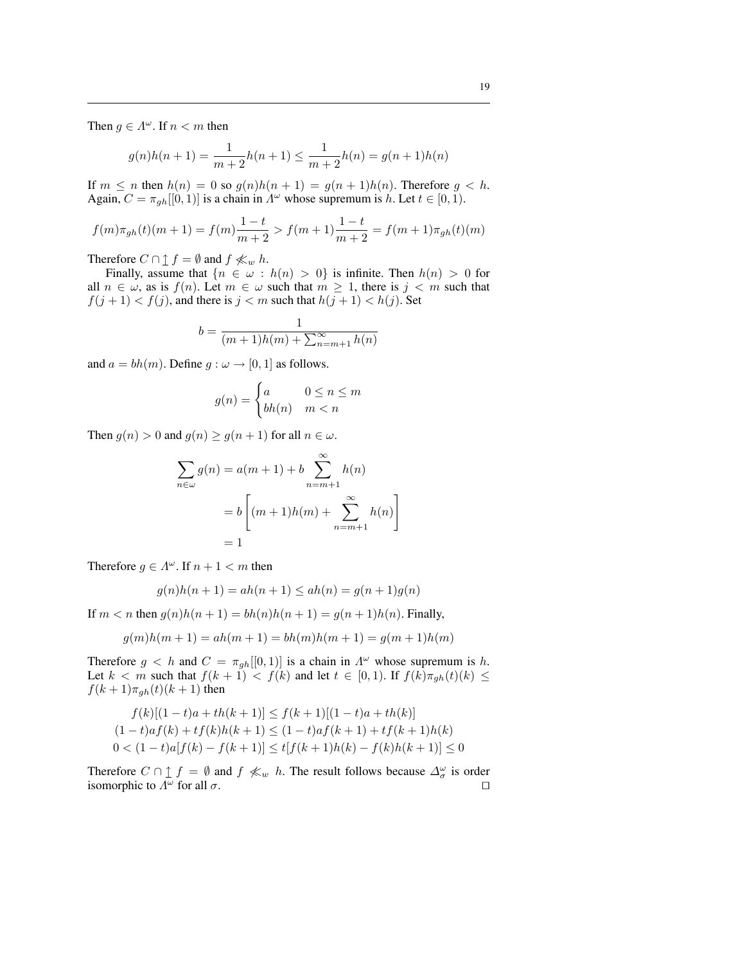Then  $g \in \Lambda^{\omega}$ . If  $n < m$  then

$$
g(n)h(n+1) = \frac{1}{m+2}h(n+1) \le \frac{1}{m+2}h(n) = g(n+1)h(n)
$$

If  $m \leq n$  then  $h(n) = 0$  so  $g(n)h(n+1) = g(n+1)h(n)$ . Therefore  $g < h$ . Again,  $C = \pi_{gh}[[0, 1]]$  is a chain in  $\Lambda^{\omega}$  whose supremum is h. Let  $t \in [0, 1)$ .

$$
f(m)\pi_{gh}(t)(m+1) = f(m)\frac{1-t}{m+2} > f(m+1)\frac{1-t}{m+2} = f(m+1)\pi_{gh}(t)(m)
$$

Therefore  $C \cap \mathbf{1} f = \emptyset$  and  $f \nless w h$ .

Finally, assume that  $\{n \in \omega : h(n) > 0\}$  is infinite. Then  $h(n) > 0$  for all  $n \in \omega$ , as is  $f(n)$ . Let  $m \in \omega$  such that  $m \ge 1$ , there is  $j < m$  such that  $f(j + 1) < f(j)$ , and there is  $j < m$  such that  $h(j + 1) < h(j)$ . Set

$$
b = \frac{1}{(m+1)h(m) + \sum_{n=m+1}^{\infty} h(n)}
$$

and  $a = bh(m)$ . Define  $g : \omega \rightarrow [0, 1]$  as follows.

$$
g(n) = \begin{cases} a & 0 \le n \le m \\ bh(n) & m < n \end{cases}
$$

Then  $g(n) > 0$  and  $g(n) \ge g(n+1)$  for all  $n \in \omega$ .

$$
\sum_{n \in \omega} g(n) = a(m+1) + b \sum_{n=m+1}^{\infty} h(n)
$$

$$
= b \left[ (m+1)h(m) + \sum_{n=m+1}^{\infty} h(n) \right]
$$

$$
= 1
$$

Therefore  $g \in \Lambda^{\omega}$ . If  $n + 1 < m$  then

$$
g(n)h(n + 1) = ah(n + 1) \le ah(n) = g(n + 1)g(n)
$$

If  $m < n$  then  $g(n)h(n + 1) = bh(n)h(n + 1) = g(n + 1)h(n)$ . Finally,

$$
g(m)h(m + 1) = ah(m + 1) = bh(m)h(m + 1) = g(m + 1)h(m)
$$

Therefore  $g < h$  and  $C = \pi_{gh}[[0,1]]$  is a chain in  $\Lambda^{\omega}$  whose supremum is h. Let  $k < m$  such that  $f(k + 1) < f(k)$  and let  $t \in [0, 1)$ . If  $f(k)\pi_{gh}(t)(k) \le$  $f(k+1)\pi_{gh}(t)(k+1)$  then

$$
f(k)[(1-t)a + th(k+1)] \le f(k+1)[(1-t)a + th(k)]
$$
  
(1-t)a f(k) + tf(k)h(k+1) \le (1-t)a f(k+1) + tf(k+1)h(k)  
0 < (1-t)a[f(k) - f(k+1)] \le tff(k+1)h(k) - f(k)h(k+1)] \le 0

Therefore  $C \cap \mathbf{f} = \emptyset$  and  $f \nless w$  h. The result follows because  $\Delta_{\sigma}^{\omega}$  is order isomorphic to  $\Lambda^{\omega}$  for all  $\sigma$ .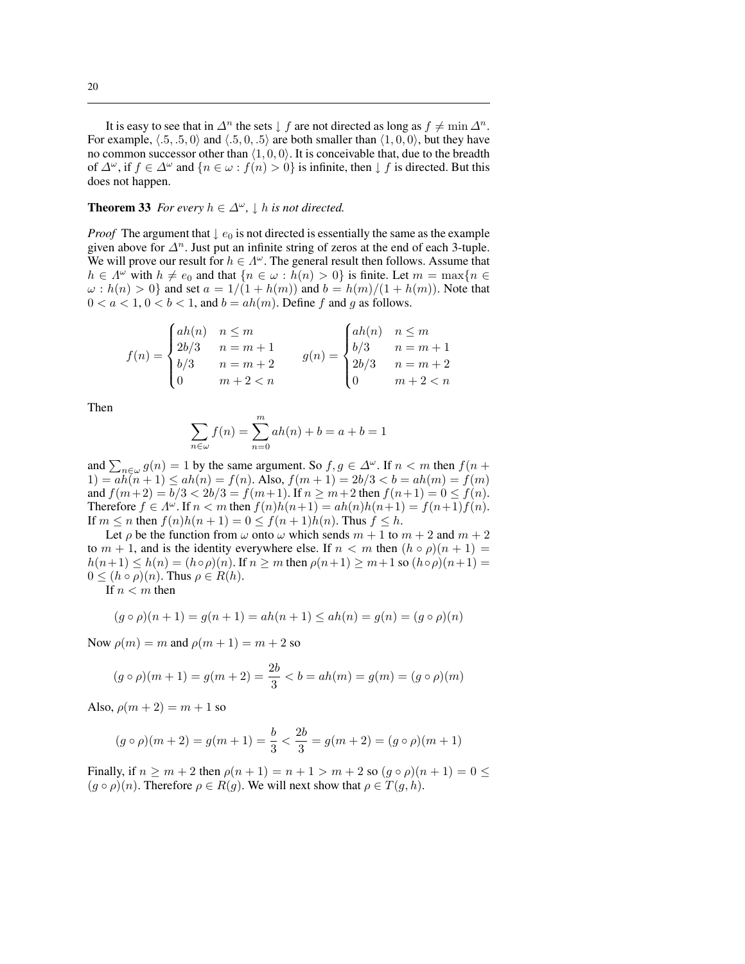It is easy to see that in  $\Delta^n$  the sets  $\downarrow f$  are not directed as long as  $f \neq \min \Delta^n$ . For example,  $\langle .5, .5, 0 \rangle$  and  $\langle .5, 0, .5 \rangle$  are both smaller than  $\langle 1, 0, 0 \rangle$ , but they have no common successor other than  $\langle 1, 0, 0 \rangle$ . It is conceivable that, due to the breadth of  $\Delta^{\omega}$ , if  $f \in \Delta^{\omega}$  and  $\{n \in \omega : f(n) > 0\}$  is infinite, then  $\downarrow f$  is directed. But this does not happen.

#### **Theorem 33** *For every*  $h \in \Delta^{\omega}$ ,  $\downarrow$  *h is not directed.*

*Proof* The argument that  $\downarrow e_0$  is not directed is essentially the same as the example given above for  $\Delta^n$ . Just put an infinite string of zeros at the end of each 3-tuple. We will prove our result for  $h \in \Lambda^{\omega}$ . The general result then follows. Assume that  $h \in \Lambda^{\omega}$  with  $h \neq e_0$  and that  $\{n \in \omega : h(n) > 0\}$  is finite. Let  $m = \max\{n \in \Lambda\}$  $\omega : h(n) > 0$  and set  $a = 1/(1 + h(m))$  and  $b = h(m)/(1 + h(m))$ . Note that  $0 < a < 1, 0 < b < 1$ , and  $b = ah(m)$ . Define f and g as follows.

$$
f(n) = \begin{cases} ah(n) & n \le m \\ 2b/3 & n = m + 1 \\ b/3 & n = m + 2 \\ 0 & m + 2 < n \end{cases} \qquad g(n) = \begin{cases} ah(n) & n \le m \\ b/3 & n = m + 1 \\ 2b/3 & n = m + 2 \\ 0 & m + 2 < n \end{cases}
$$

Then

$$
\sum_{n \in \omega} f(n) = \sum_{n=0}^{m} ah(n) + b = a + b = 1
$$

and  $\sum_{n \in \omega} g(n) = 1$  by the same argument. So  $f, g \in \Delta^{\omega}$ . If  $n < m$  then  $f(n +$  $1) = a\tilde{h}(n+1) \leq ah(n) = f(n)$ . Also,  $f(m+1) = 2b/3 < b = ah(m) = f(m)$ and  $f(m+2) = b/3 < 2b/3 = f(m+1)$ . If  $n \ge m+2$  then  $f(n+1) = 0 \le f(n)$ . Therefore  $f \in \Lambda^{\omega}$ . If  $n < m$  then  $f(n)h(n+1) = ah(n)h(n+1) = f(n+1)f(n)$ . If  $m \le n$  then  $f(n)h(n+1) = 0 \le f(n+1)h(n)$ . Thus  $f \le h$ .

Let  $\rho$  be the function from  $\omega$  onto  $\omega$  which sends  $m + 1$  to  $m + 2$  and  $m + 2$ to  $m + 1$ , and is the identity everywhere else. If  $n < m$  then  $(h \circ \rho)(n + 1) =$  $h(n+1) \leq h(n) = (h \circ \rho)(n)$ . If  $n \geq m$  then  $\rho(n+1) \geq m+1$  so  $(h \circ \rho)(n+1) =$  $0 \leq (h \circ \rho)(n)$ . Thus  $\rho \in R(h)$ .

If  $n < m$  then

$$
(g \circ \rho)(n+1) = g(n+1) = ah(n+1) \le ah(n) = g(n) = (g \circ \rho)(n)
$$

Now  $\rho(m) = m$  and  $\rho(m + 1) = m + 2$  so

$$
(g \circ \rho)(m+1) = g(m+2) = \frac{2b}{3} < b = ah(m) = g(m) = (g \circ \rho)(m)
$$

Also,  $\rho(m + 2) = m + 1$  so

$$
(g \circ \rho)(m+2) = g(m+1) = \frac{b}{3} < \frac{2b}{3} = g(m+2) = (g \circ \rho)(m+1)
$$

Finally, if  $n \ge m + 2$  then  $\rho(n + 1) = n + 1 > m + 2$  so  $(g \circ \rho)(n + 1) = 0 \le$  $(g \circ \rho)(n)$ . Therefore  $\rho \in R(g)$ . We will next show that  $\rho \in T(g, h)$ .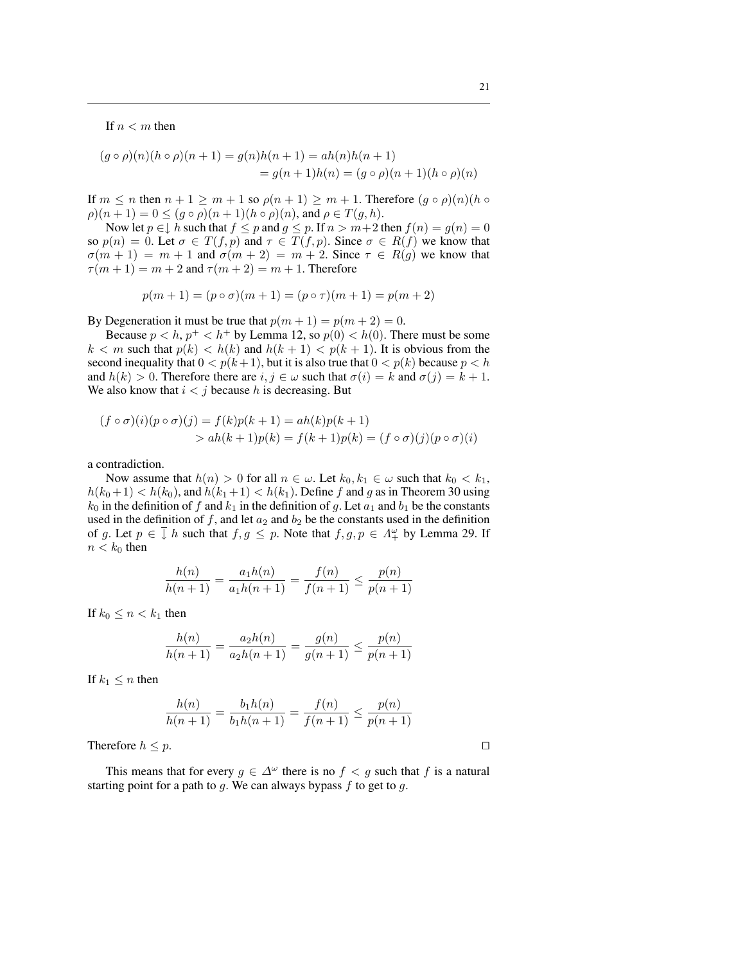If  $n < m$  then

$$
(g \circ \rho)(n)(h \circ \rho)(n+1) = g(n)h(n+1) = ah(n)h(n+1)
$$
  
=  $g(n+1)h(n) = (g \circ \rho)(n+1)(h \circ \rho)(n)$ 

If  $m \leq n$  then  $n + 1 \geq m + 1$  so  $\rho(n + 1) \geq m + 1$ . Therefore  $(g \circ \rho)(n)(h \circ \rho)(n)$  $\rho(n + 1) = 0 \le (g \circ \rho)(n + 1)(h \circ \rho)(n)$ , and  $\rho \in T(g, h)$ .

Now let  $p \in \downarrow h$  such that  $f \leq p$  and  $g \leq p$ . If  $n > m+2$  then  $f(n) = g(n) = 0$ so  $p(n) = 0$ . Let  $\sigma \in T(f, p)$  and  $\tau \in T(f, p)$ . Since  $\sigma \in R(f)$  we know that  $\sigma(m + 1) = m + 1$  and  $\sigma(m + 2) = m + 2$ . Since  $\tau \in R(g)$  we know that  $\tau(m+1) = m+2$  and  $\tau(m+2) = m+1$ . Therefore

$$
p(m + 1) = (p \circ \sigma)(m + 1) = (p \circ \tau)(m + 1) = p(m + 2)
$$

By Degeneration it must be true that  $p(m + 1) = p(m + 2) = 0$ .

Because  $p < h$ ,  $p^+ < h^+$  by Lemma 12, so  $p(0) < h(0)$ . There must be some  $k < m$  such that  $p(k) < h(k)$  and  $h(k + 1) < p(k + 1)$ . It is obvious from the second inequality that  $0 < p(k+1)$ , but it is also true that  $0 < p(k)$  because  $p < h$ and  $h(k) > 0$ . Therefore there are  $i, j \in \omega$  such that  $\sigma(i) = k$  and  $\sigma(j) = k + 1$ . We also know that  $i < j$  because h is decreasing. But

$$
(f \circ \sigma)(i)(p \circ \sigma)(j) = f(k)p(k+1) = ah(k)p(k+1)
$$
  
> ah(k+1)p(k) = f(k+1)p(k) = (f \circ \sigma)(j)(p \circ \sigma)(i)

a contradiction.

Now assume that  $h(n) > 0$  for all  $n \in \omega$ . Let  $k_0, k_1 \in \omega$  such that  $k_0 < k_1$ ,  $h(k_0+1) < h(k_0)$ , and  $h(k_1+1) < h(k_1)$ . Define f and g as in Theorem 30 using  $k_0$  in the definition of f and  $k_1$  in the definition of g. Let  $a_1$  and  $b_1$  be the constants used in the definition of f, and let  $a_2$  and  $b_2$  be the constants used in the definition of g. Let  $p \in \overline{I}$  h such that  $f, g \leq p$ . Note that  $f, g, p \in \Lambda^{\omega}_{+}$  by Lemma 29. If  $n < k_0$  then

$$
\frac{h(n)}{h(n+1)} = \frac{a_1 h(n)}{a_1 h(n+1)} = \frac{f(n)}{f(n+1)} \le \frac{p(n)}{p(n+1)}
$$

If  $k_0 \leq n < k_1$  then

$$
\frac{h(n)}{h(n+1)} = \frac{a_2 h(n)}{a_2 h(n+1)} = \frac{g(n)}{g(n+1)} \le \frac{p(n)}{p(n+1)}
$$

If  $k_1 \leq n$  then

$$
\frac{h(n)}{h(n+1)} = \frac{b_1 h(n)}{b_1 h(n+1)} = \frac{f(n)}{f(n+1)} \le \frac{p(n)}{p(n+1)}
$$

Therefore  $h \leq p$ .

This means that for every  $g \in \Delta^{\omega}$  there is no  $f < g$  such that f is a natural starting point for a path to  $g$ . We can always bypass  $f$  to get to  $g$ .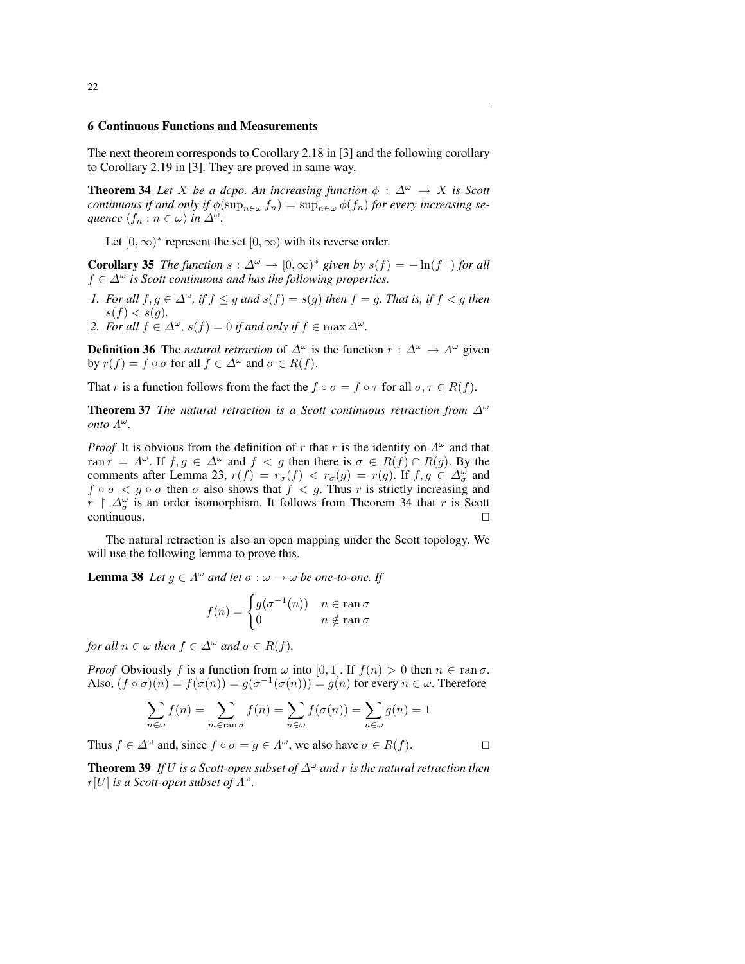#### 6 Continuous Functions and Measurements

The next theorem corresponds to Corollary 2.18 in [3] and the following corollary to Corollary 2.19 in [3]. They are proved in same way.

**Theorem 34** Let X be a dcpo. An increasing function  $\phi : \Delta^{\omega} \rightarrow X$  is Scott *continuous if and only if*  $\phi(\sup_{n \in \omega} f_n) = \sup_{n \in \omega} \phi(f_n)$  *for every increasing sequence*  $\langle f_n : n \in \omega \rangle$  *in*  $\Delta^\omega$ *.* 

Let  $[0, \infty)^*$  represent the set  $[0, \infty)$  with its reverse order.

**Corollary 35** *The function*  $s : \Delta^{\omega} \to [0, \infty)^*$  *given by*  $s(f) = -\ln(f^+)$  *for all*  $f \in \Delta^{\omega}$  is Scott continuous and has the following properties.

*1. For all*  $f, g \in \Delta^{\omega}$ , if  $f \le g$  *and*  $s(f) = s(g)$  *then*  $f = g$ *. That is, if*  $f < g$  *then*  $s(f) < s(g)$ .

*2. For all*  $f \in \Delta^{\omega}$ ,  $s(f) = 0$  *if and only if*  $f \in \max \Delta^{\omega}$ .

**Definition 36** The *natural retraction* of  $\Delta^{\omega}$  is the function  $r : \Delta^{\omega} \to \Lambda^{\omega}$  given by  $r(f) = f \circ \sigma$  for all  $f \in \Delta^{\omega}$  and  $\sigma \in R(f)$ .

That r is a function follows from the fact the  $f \circ \sigma = f \circ \tau$  for all  $\sigma, \tau \in R(f)$ .

**Theorem 37** *The natural retraction is a Scott continuous retraction from*  $\Delta^{\omega}$ *onto*  $\Lambda^{\omega}$ .

*Proof* It is obvious from the definition of r that r is the identity on  $\Lambda^{\omega}$  and that ran  $r = \Lambda^{\omega}$ . If  $f, g \in \Delta^{\omega}$  and  $f < g$  then there is  $\sigma \in R(f) \cap R(g)$ . By the comments after Lemma 23,  $r(f) = r_{\sigma}(f) < r_{\sigma}(g) = r(g)$ . If  $f, g \in \Delta^{\omega}$  and  $f \circ \sigma < g \circ \sigma$  then  $\sigma$  also shows that  $f < g$ . Thus r is strictly increasing and  $r \restriction \Delta^{\omega}_{\sigma}$  is an order isomorphism. It follows from Theorem 34 that r is Scott  $\Box$  continuous.  $\Box$ 

The natural retraction is also an open mapping under the Scott topology. We will use the following lemma to prove this.

**Lemma 38** *Let*  $g \in \Lambda^{\omega}$  *and let*  $\sigma : \omega \to \omega$  *be one-to-one. If* 

$$
f(n) = \begin{cases} g(\sigma^{-1}(n)) & n \in \operatorname{ran} \sigma \\ 0 & n \notin \operatorname{ran} \sigma \end{cases}
$$

*for all*  $n \in \omega$  *then*  $f \in \Delta^{\omega}$  *and*  $\sigma \in R(f)$ *.* 

*Proof* Obviously f is a function from  $\omega$  into [0, 1]. If  $f(n) > 0$  then  $n \in \text{ran }\sigma$ . Also,  $(f \circ \sigma)(n) = f(\sigma(n)) = g(\sigma^{-1}(\sigma(n))) = g(n)$  for every  $n \in \omega$ . Therefore

$$
\sum_{n \in \omega} f(n) = \sum_{m \in \text{ran }\sigma} f(n) = \sum_{n \in \omega} f(\sigma(n)) = \sum_{n \in \omega} g(n) = 1
$$

Thus  $f \in \Delta^{\omega}$  and, since  $f \circ \sigma = g \in \Lambda^{\omega}$ , we also have  $\sigma \in R(f)$ .

**Theorem 39** *If U is a Scott-open subset of*  $\Delta^{\omega}$  *and r is the natural retraction then*  $r[U]$  *is a Scott-open subset of*  $\Lambda^{\omega}$ .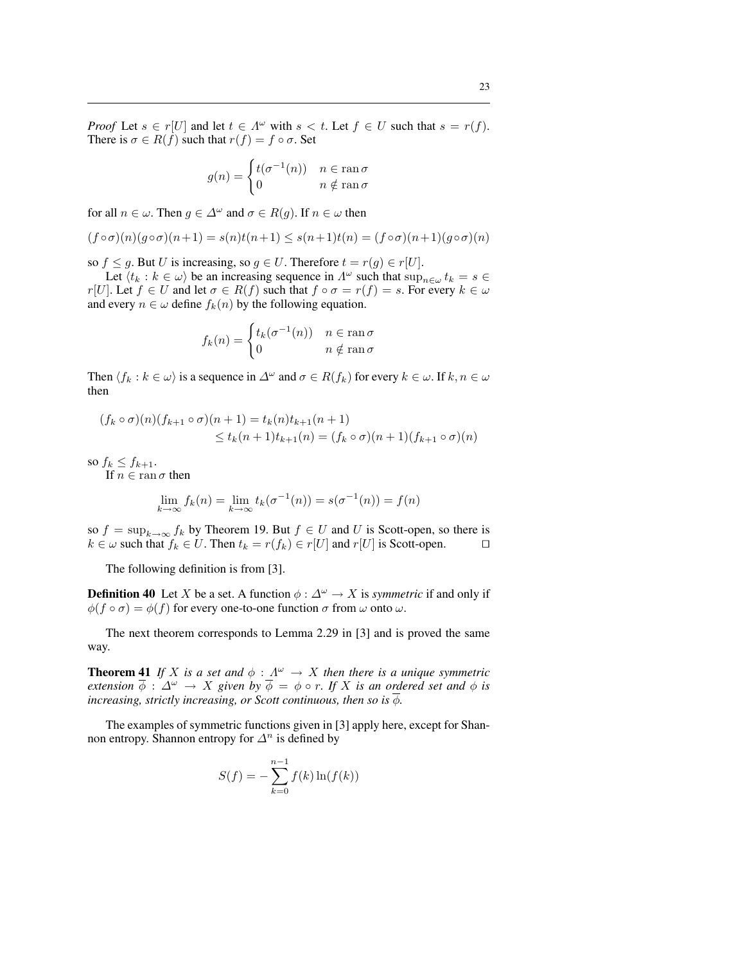*Proof* Let  $s \in r[U]$  and let  $t \in \Lambda^\omega$  with  $s < t$ . Let  $f \in U$  such that  $s = r(f)$ . There is  $\sigma \in R(f)$  such that  $r(f) = f \circ \sigma$ . Set

$$
g(n) = \begin{cases} t(\sigma^{-1}(n)) & n \in \text{ran}\,\sigma \\ 0 & n \notin \text{ran}\,\sigma \end{cases}
$$

for all  $n \in \omega$ . Then  $q \in \Delta^{\omega}$  and  $\sigma \in R(q)$ . If  $n \in \omega$  then

$$
(f\circ\sigma)(n)(g\circ\sigma)(n+1) = s(n)t(n+1) \leq s(n+1)t(n) = (f\circ\sigma)(n+1)(g\circ\sigma)(n)
$$

so  $f \leq g$ . But U is increasing, so  $g \in U$ . Therefore  $t = r(g) \in r[U]$ .

Let  $\langle t_k : k \in \omega \rangle$  be an increasing sequence in  $\Lambda^{\omega}$  such that  $\sup_{n \in \omega} t_k = s \in$ r[U]. Let  $f \in U$  and let  $\sigma \in R(f)$  such that  $f \circ \sigma = r(f) = s$ . For every  $k \in \omega$ and every  $n \in \omega$  define  $f_k(n)$  by the following equation.

$$
f_k(n) = \begin{cases} t_k(\sigma^{-1}(n)) & n \in \operatorname{ran} \sigma \\ 0 & n \notin \operatorname{ran} \sigma \end{cases}
$$

Then  $\langle f_k : k \in \omega \rangle$  is a sequence in  $\Delta^\omega$  and  $\sigma \in R(f_k)$  for every  $k \in \omega$ . If  $k, n \in \omega$ then

$$
(f_k \circ \sigma)(n)(f_{k+1} \circ \sigma)(n+1) = t_k(n)t_{k+1}(n+1)
$$
  
 
$$
\le t_k(n+1)t_{k+1}(n) = (f_k \circ \sigma)(n+1)(f_{k+1} \circ \sigma)(n)
$$

so  $f_k \leq f_{k+1}$ .

If  $n \in \text{ran }\sigma$  then

$$
\lim_{k \to \infty} f_k(n) = \lim_{k \to \infty} t_k(\sigma^{-1}(n)) = s(\sigma^{-1}(n)) = f(n)
$$

so  $f = \sup_{k \to \infty} f_k$  by Theorem 19. But  $f \in U$  and U is Scott-open, so there is  $k \in \omega$  such that  $f_k \in U$ . Then  $t_k = r(f_k) \in r[U]$  and  $r[U]$  is Scott-open.  $\square$ 

The following definition is from [3].

**Definition 40** Let X be a set. A function  $\phi : \Delta^{\omega} \to X$  is *symmetric* if and only if  $\phi(f \circ \sigma) = \phi(f)$  for every one-to-one function  $\sigma$  from  $\omega$  onto  $\omega$ .

The next theorem corresponds to Lemma 2.29 in [3] and is proved the same way.

**Theorem 41** If X is a set and  $\phi : A^{\omega} \to X$  then there is a unique symmetric *extension*  $\overline{\phi}$  :  $\Delta^{\omega} \rightarrow X$  *given by*  $\overline{\phi} = \phi \circ r$ *. If* X *is an ordered set and*  $\phi$  *is increasing, strictly increasing, or Scott continuous, then so is*  $\overline{\phi}$ *.* 

The examples of symmetric functions given in [3] apply here, except for Shannon entropy. Shannon entropy for  $\Delta^n$  is defined by

$$
S(f) = -\sum_{k=0}^{n-1} f(k) \ln(f(k))
$$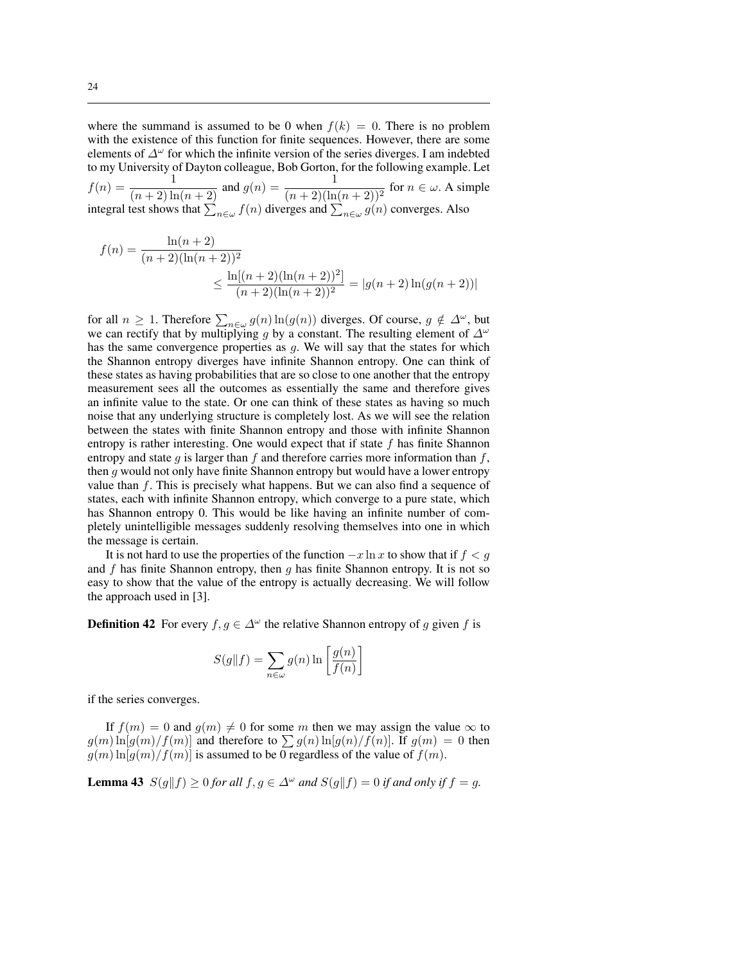where the summand is assumed to be 0 when  $f(k) = 0$ . There is no problem with the existence of this function for finite sequences. However, there are some elements of  $\Delta^{\omega}$  for which the infinite version of the series diverges. I am indebted to my University of Dayton colleague, Bob Gorton, for the following example. Let

 $f(n) = \frac{1}{(n+2)\ln(n+2)}$  and  $g(n) = \frac{1}{(n+2)(\ln(n+2))^2}$  for  $n \in \omega$ . A simple integral test shows that  $\sum_{n\in\omega} f(n)$  diverges and  $\sum_{n\in\omega} g(n)$  converges. Also

$$
f(n) = \frac{\ln(n+2)}{(n+2)(\ln(n+2))^2}
$$
  
 
$$
\leq \frac{\ln[(n+2)(\ln(n+2))^2]}{(n+2)(\ln(n+2))^2} = |g(n+2)\ln(g(n+2))|
$$

for all  $n \ge 1$ . Therefore  $\sum_{n \in \omega} g(n) \ln(g(n))$  diverges. Of course,  $g \notin \Delta^{\omega}$ , but we can rectify that by multiplying g by a constant. The resulting element of  $\Delta^{\omega}$ has the same convergence properties as g. We will say that the states for which the Shannon entropy diverges have infinite Shannon entropy. One can think of these states as having probabilities that are so close to one another that the entropy measurement sees all the outcomes as essentially the same and therefore gives an infinite value to the state. Or one can think of these states as having so much noise that any underlying structure is completely lost. As we will see the relation between the states with finite Shannon entropy and those with infinite Shannon entropy is rather interesting. One would expect that if state  $f$  has finite Shannon entropy and state g is larger than f and therefore carries more information than f, then q would not only have finite Shannon entropy but would have a lower entropy value than f. This is precisely what happens. But we can also find a sequence of states, each with infinite Shannon entropy, which converge to a pure state, which has Shannon entropy 0. This would be like having an infinite number of completely unintelligible messages suddenly resolving themselves into one in which the message is certain.

It is not hard to use the properties of the function  $-x \ln x$  to show that if  $f < g$ and  $f$  has finite Shannon entropy, then  $g$  has finite Shannon entropy. It is not so easy to show that the value of the entropy is actually decreasing. We will follow the approach used in [3].

**Definition 42** For every  $f, g \in \Delta^{\omega}$  the relative Shannon entropy of g given f is

$$
S(g||f) = \sum_{n \in \omega} g(n) \ln \left[ \frac{g(n)}{f(n)} \right]
$$

if the series converges.

If  $f(m) = 0$  and  $g(m) \neq 0$  for some m then we may assign the value  $\infty$  to  $g(m) \ln[g(m)/f(m)]$  and therefore to  $\sum g(n) \ln[g(n)/f(n)]$ . If  $g(m) = 0$  then  $g(m) \ln[g(m)/f(m)]$  is assumed to be 0 regardless of the value of  $f(m)$ .

**Lemma 43**  $S(g||f) \ge 0$  *for all*  $f, g \in \Delta^{\omega}$  *and*  $S(g||f) = 0$  *if and only if*  $f = g$ *.*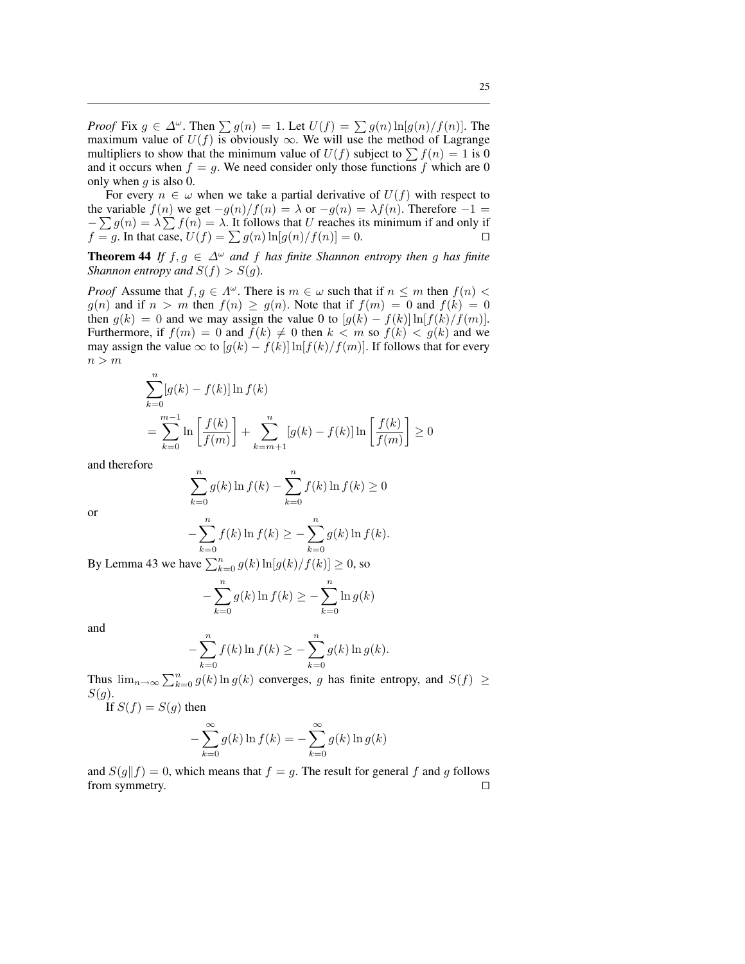*Proof* Fix  $g \in \Delta^{\omega}$ . Then  $\sum g(n) = 1$ . Let  $U(f) = \sum g(n) \ln[g(n)/f(n)]$ . The maximum value of  $U(f)$  is obviously  $\infty$ . We will use the method of Lagrange multipliers to show that the minimum value of  $U(f)$  subject to  $\sum f(n) = 1$  is 0 and it occurs when  $f = g$ . We need consider only those functions f which are 0 only when  $q$  is also 0.

For every  $n \in \omega$  when we take a partial derivative of  $U(f)$  with respect to the variable  $f(n)$  we get  $-g(n)/f(n) = \lambda$  or  $-g(n) = \lambda f(n)$ . Therefore  $-1 =$ the variable  $f(n)$  we get  $-g(n)/f(n) = \lambda$  or  $-g(n) = \lambda f(n)$ . Interestive  $-1 =$ <br> $-\sum g(n) = \lambda \sum f(n) = \lambda$ . It follows that U reaches its minimum if and only if  $f = g$ . In that case,  $U(f) = \sum g(n) \ln[g(n)/f(n)] = 0$ .

**Theorem 44** *If*  $f, g \in \Delta^{\omega}$  *and*  $f$  *has finite Shannon entropy then*  $g$  *has finite Shannon entropy and*  $S(f) > S(g)$ *.* 

*Proof* Assume that  $f, g \in \Lambda^{\omega}$ . There is  $m \in \omega$  such that if  $n \leq m$  then  $f(n)$  $g(n)$  and if  $n > m$  then  $f(n) \ge g(n)$ . Note that if  $f(m) = 0$  and  $f(k) = 0$ then  $g(k) = 0$  and we may assign the value 0 to  $[g(k) - f(k)] \ln[f(k)/f(m)]$ . Furthermore, if  $f(m) = 0$  and  $f(k) \neq 0$  then  $k < m$  so  $f(k) < g(k)$  and we may assign the value  $\infty$  to  $[g(k) - f(k)] \ln[f(k)/f(m)]$ . If follows that for every  $n > m$ 

$$
\sum_{k=0}^{n} [g(k) - f(k)] \ln f(k)
$$
  
= 
$$
\sum_{k=0}^{m-1} \ln \left[ \frac{f(k)}{f(m)} \right] + \sum_{k=m+1}^{n} [g(k) - f(k)] \ln \left[ \frac{f(k)}{f(m)} \right] \ge 0
$$

and therefore

$$
\sum_{k=0}^{n} g(k) \ln f(k) - \sum_{k=0}^{n} f(k) \ln f(k) \ge 0
$$
  

$$
-\sum_{k=0}^{n} f(k) \ln f(k) \ge -\sum_{k=0}^{n} g(k) \ln f(k).
$$

By Lemma 43 we have  $\sum_{k=0}^{\infty} g(k) \ln[g(k)/f(k)] \ge 0$ , so

$$
-\sum_{k=0}^{n} g(k) \ln f(k) \ge -\sum_{k=0}^{n} \ln g(k)
$$

and

or

$$
-\sum_{k=0}^{n} f(k) \ln f(k) \ge -\sum_{k=0}^{n} g(k) \ln g(k).
$$

Thus  $\lim_{n\to\infty}\sum_{k=0}^n g(k) \ln g(k)$  converges, g has finite entropy, and  $S(f) \geq$  $S(g).$ 

If  $S(f) = S(g)$  then

$$
-\sum_{k=0}^{\infty} g(k) \ln f(k) = -\sum_{k=0}^{\infty} g(k) \ln g(k)
$$

and  $S(g||f) = 0$ , which means that  $f = g$ . The result for general f and g follows from symmetry.  $\Box$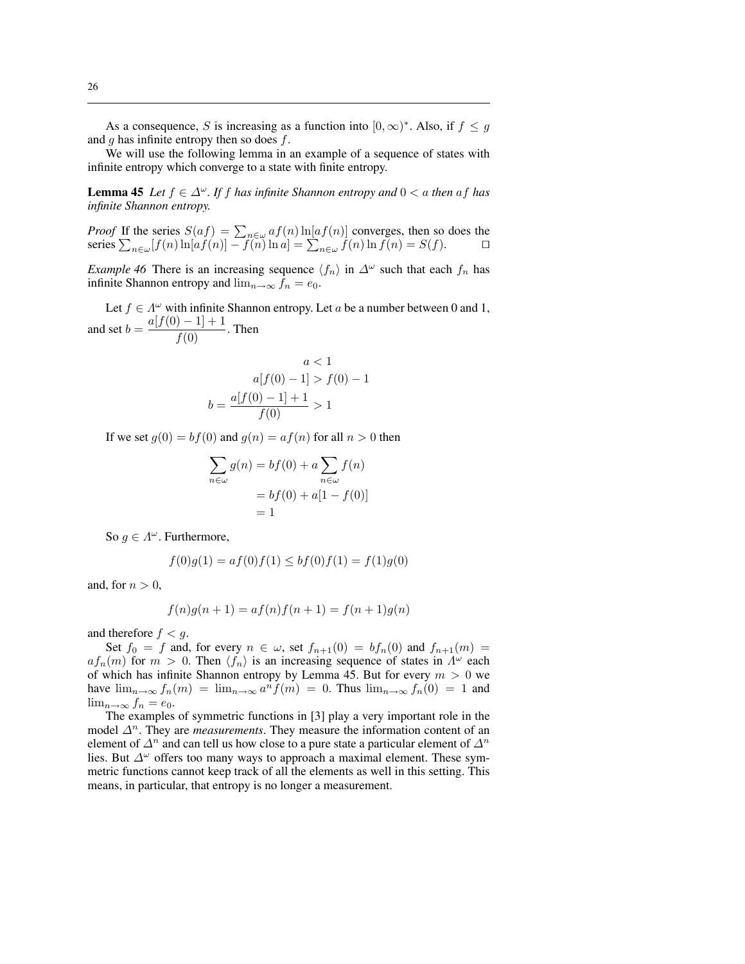As a consequence, S is increasing as a function into  $[0, \infty)^*$ . Also, if  $f \leq g$ and  $q$  has infinite entropy then so does  $f$ .

We will use the following lemma in an example of a sequence of states with infinite entropy which converge to a state with finite entropy.

**Lemma 45** *Let*  $f \in \Delta^{\omega}$ *. If*  $f$  *has infinite Shannon entropy and*  $0 < a$  *then*  $af$  *has infinite Shannon entropy.*

*Proof* If the series  $S(af) = \sum_{n \in \omega} af(n) \ln[af(n)]$  converges, then so does the series  $\sum_{n \in \omega} [f(n) \ln[af(n)] - f(n) \ln a] = \sum_{n \in \omega} f(n) \ln f(n) = S(f)$ .

*Example 46* There is an increasing sequence  $\langle f_n \rangle$  in  $\Delta^{\omega}$  such that each  $f_n$  has infinite Shannon entropy and  $\lim_{n\to\infty} f_n = e_0$ .

Let  $f \in \Lambda^{\omega}$  with infinite Shannon entropy. Let a be a number between 0 and 1, and set  $b = \frac{a[f(0) - 1] + 1}{f(0)}$ . Then

$$
a < 1
$$
  
\n
$$
a[f(0) - 1] > f(0) - 1
$$
  
\n
$$
b = \frac{a[f(0) - 1] + 1}{f(0)} > 1
$$

If we set  $q(0) = bf(0)$  and  $q(n) = af(n)$  for all  $n > 0$  then

$$
\sum_{n \in \omega} g(n) = bf(0) + a \sum_{n \in \omega} f(n)
$$

$$
= bf(0) + a[1 - f(0)]
$$

$$
= 1
$$

So  $g \in \Lambda^{\omega}$ . Furthermore,

$$
f(0)g(1) = af(0)f(1) \le bf(0)f(1) = f(1)g(0)
$$

and, for  $n > 0$ ,

$$
f(n)g(n + 1) = af(n)f(n + 1) = f(n + 1)g(n)
$$

and therefore  $f < q$ .

Set  $f_0 = f$  and, for every  $n \in \omega$ , set  $f_{n+1}(0) = bf_n(0)$  and  $f_{n+1}(m) =$  $af_n(m)$  for  $m > 0$ . Then  $\langle f_n \rangle$  is an increasing sequence of states in  $\Lambda^{\omega}$  each of which has infinite Shannon entropy by Lemma 45. But for every  $m > 0$  we have  $\lim_{n\to\infty} f_n(m) = \lim_{n\to\infty} a^n f(m) = 0$ . Thus  $\lim_{n\to\infty} f_n(0) = 1$  and  $\lim_{n\to\infty} f_n = e_0.$ 

The examples of symmetric functions in [3] play a very important role in the model  $\Delta^n$ . They are *measurements*. They measure the information content of an element of  $\Delta^n$  and can tell us how close to a pure state a particular element of  $\Delta^n$ lies. But  $\Delta^{\omega}$  offers too many ways to approach a maximal element. These symmetric functions cannot keep track of all the elements as well in this setting. This means, in particular, that entropy is no longer a measurement.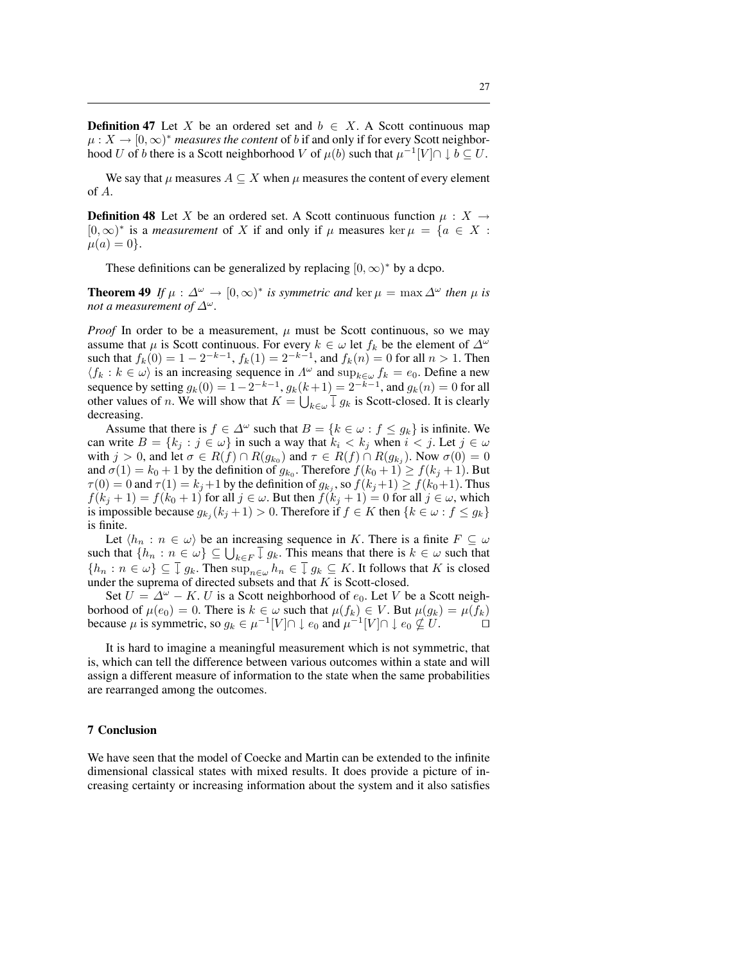**Definition 47** Let X be an ordered set and  $b \in X$ . A Scott continuous map  $\mu: X \to [0, \infty)^*$  *measures the content* of *b* if and only if for every Scott neighborhood U of b there is a Scott neighborhood V of  $\mu(b)$  such that  $\mu^{-1}[V] \cap \downarrow b \subseteq U$ .

We say that  $\mu$  measures  $A \subseteq X$  when  $\mu$  measures the content of every element of A.

**Definition 48** Let X be an ordered set. A Scott continuous function  $\mu : X \rightarrow$ [0, ∞)<sup>\*</sup> is a *measurement* of X if and only if  $\mu$  measures ker  $\mu = \{a \in X :$  $\mu(a) = 0$ .

These definitions can be generalized by replacing  $[0, \infty)^*$  by a dcpo.

**Theorem 49** If  $\mu : \Delta^{\omega} \to [0, \infty)^*$  is symmetric and ker  $\mu = \max \Delta^{\omega}$  then  $\mu$  is *not a measurement of*  $\Delta^{\omega}$ *.* 

*Proof* In order to be a measurement,  $\mu$  must be Scott continuous, so we may assume that  $\mu$  is Scott continuous. For every  $k \in \omega$  let  $f_k$  be the element of  $\Delta^{\omega}$ such that  $f_k(0) = 1 - 2^{-k-1}$ ,  $f_k(1) = 2^{-k-1}$ , and  $f_k(n) = 0$  for all  $n > 1$ . Then  $\langle f_k : k \in \omega \rangle$  is an increasing sequence in  $\Lambda^{\omega}$  and  $\sup_{k \in \omega} f_k = e_0$ . Define a new sequence by setting  $g_k(0) = 1 - 2^{-k-1}$ ,  $g_k(k+1) = 2^{-k-1}$ , and  $g_k(n) = 0$  for all sequence by setting  $g_k(0) = 1 - 2^{n-1}$ ,  $g_k(k)$ <br>other values of *n*. We will show that  $K = \bigcup$  $\int_{k\in\omega} \overline{\downarrow} g_k$  is Scott-closed. It is clearly decreasing.

Assume that there is  $f \in \Delta^{\omega}$  such that  $B = \{k \in \omega : f \le g_k\}$  is infinite. We can write  $B = \{k_j : j \in \omega\}$  in such a way that  $k_i < k_j$  when  $i < j$ . Let  $j \in \omega$ with  $j > 0$ , and let  $\sigma \in R(f) \cap R(g_{k_0})$  and  $\tau \in R(f) \cap R(g_{k_j})$ . Now  $\sigma(0) = 0$ and  $\sigma(1) = k_0 + 1$  by the definition of  $g_{k_0}$ . Therefore  $f(k_0 + 1) \ge f(k_j + 1)$ . But  $\tau(0) = 0$  and  $\tau(1) = k_j + 1$  by the definition of  $g_{k_j}$ , so  $f(k_j + 1) \ge f(k_0 + 1)$ . Thus  $f(k_j + 1) = f(k_0 + 1)$  for all  $j \in \omega$ . But then  $f(k_j + 1) = 0$  for all  $j \in \omega$ , which is impossible because  $g_{k_j}(k_j+1) > 0$ . Therefore if  $f \in K$  then  $\{k \in \omega : f \leq g_k\}$ is finite.

Let  $\langle h_n : n \in \omega \rangle$  be an increasing sequence in K. There is a finite  $F \subseteq \omega$ Let  $\langle h_n : n \in \omega \rangle$  be an increasing sequence in *K*. There is a finite  $F \subseteq \omega$ <br>such that  $\{h_n : n \in \omega\} \subseteq \bigcup_{k \in F} \overline{\downarrow} g_k$ . This means that there is  $k \in \omega$  such that  $\{h_n : n \in \omega\} \subseteq \overline{I}$   $g_k$ . Then  $\sup_{n \in \omega} h_n \in \overline{I}$   $g_k \subseteq K$ . It follows that K is closed under the suprema of directed subsets and that  $K$  is Scott-closed.

Set  $U = \Delta^{\omega} - K$ . U is a Scott neighborhood of  $e_0$ . Let V be a Scott neighborhood of  $\mu(e_0) = 0$ . There is  $k \in \omega$  such that  $\mu(f_k) \in V$ . But  $\mu(g_k) = \mu(f_k)$ because  $\mu$  is symmetric, so  $g_k \in \mu^{-1}[V] \cap \downarrow e_0$  and  $\mu^{-1}[V] \cap \downarrow e_0 \nsubseteq U$ .

It is hard to imagine a meaningful measurement which is not symmetric, that is, which can tell the difference between various outcomes within a state and will assign a different measure of information to the state when the same probabilities are rearranged among the outcomes.

#### 7 Conclusion

We have seen that the model of Coecke and Martin can be extended to the infinite dimensional classical states with mixed results. It does provide a picture of increasing certainty or increasing information about the system and it also satisfies